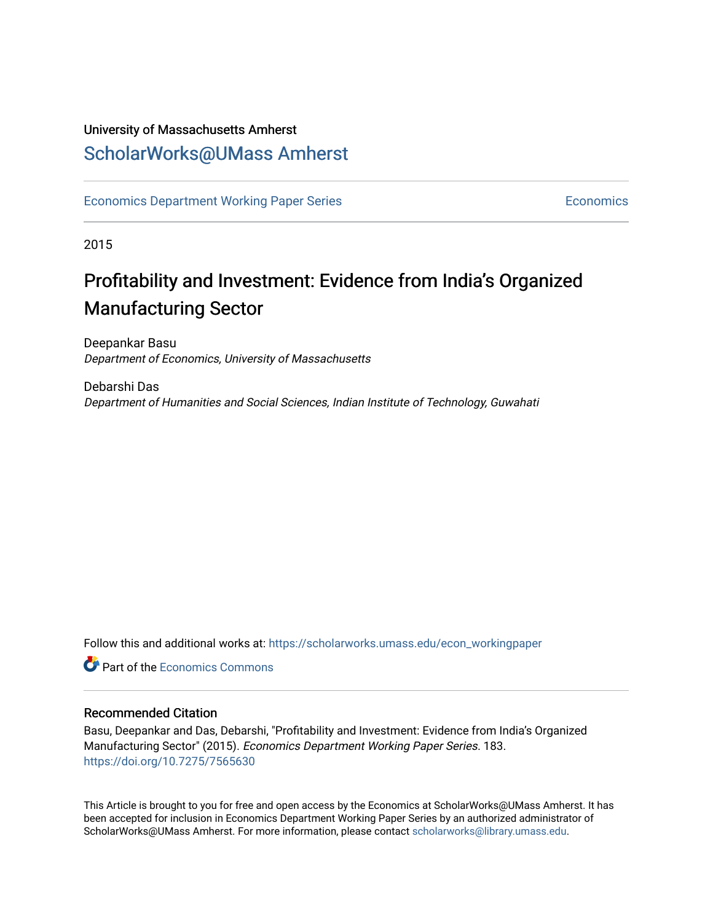### University of Massachusetts Amherst [ScholarWorks@UMass Amherst](https://scholarworks.umass.edu/)

[Economics Department Working Paper Series](https://scholarworks.umass.edu/econ_workingpaper) **Economics** [Economics](https://scholarworks.umass.edu/economics) Economics

2015

### Profitability and Investment: Evidence from India's Organized Manufacturing Sector

Deepankar Basu Department of Economics, University of Massachusetts

Debarshi Das Department of Humanities and Social Sciences, Indian Institute of Technology, Guwahati

Follow this and additional works at: [https://scholarworks.umass.edu/econ\\_workingpaper](https://scholarworks.umass.edu/econ_workingpaper?utm_source=scholarworks.umass.edu%2Fecon_workingpaper%2F183&utm_medium=PDF&utm_campaign=PDFCoverPages) 

**Part of the [Economics Commons](http://network.bepress.com/hgg/discipline/340?utm_source=scholarworks.umass.edu%2Fecon_workingpaper%2F183&utm_medium=PDF&utm_campaign=PDFCoverPages)** 

#### Recommended Citation

Basu, Deepankar and Das, Debarshi, "Profitability and Investment: Evidence from India's Organized Manufacturing Sector" (2015). Economics Department Working Paper Series. 183. <https://doi.org/10.7275/7565630>

This Article is brought to you for free and open access by the Economics at ScholarWorks@UMass Amherst. It has been accepted for inclusion in Economics Department Working Paper Series by an authorized administrator of ScholarWorks@UMass Amherst. For more information, please contact [scholarworks@library.umass.edu.](mailto:scholarworks@library.umass.edu)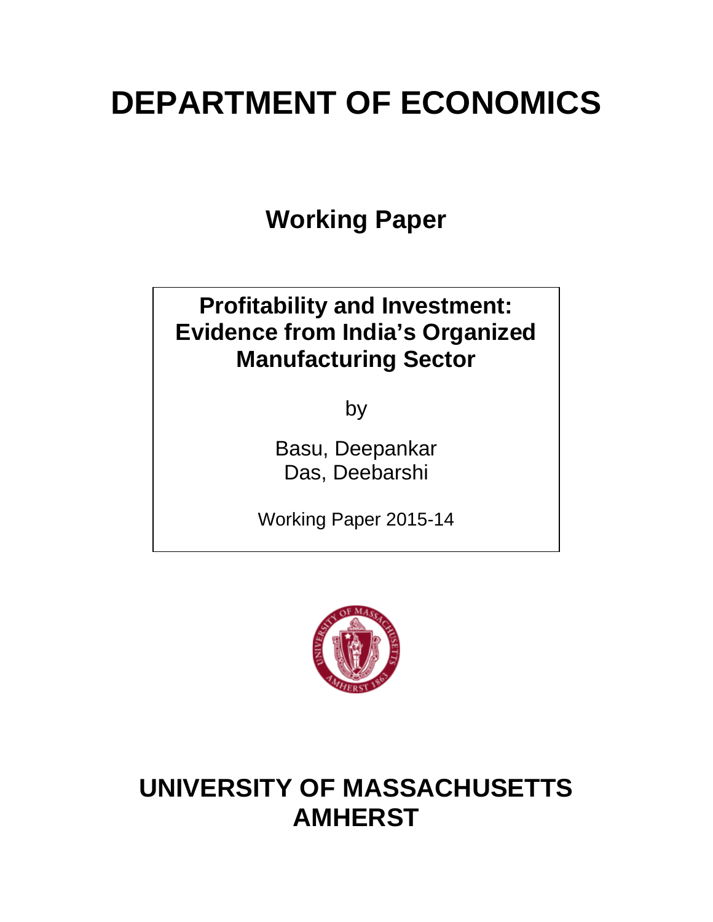# **DEPARTMENT OF ECONOMICS**

**Working Paper**

# **Profitability and Investment: Evidence from India's Organized Manufacturing Sector**

by

Basu, Deepankar Das, Deebarshi

Working Paper 2015-14



# **UNIVERSITY OF MASSACHUSETTS AMHERST**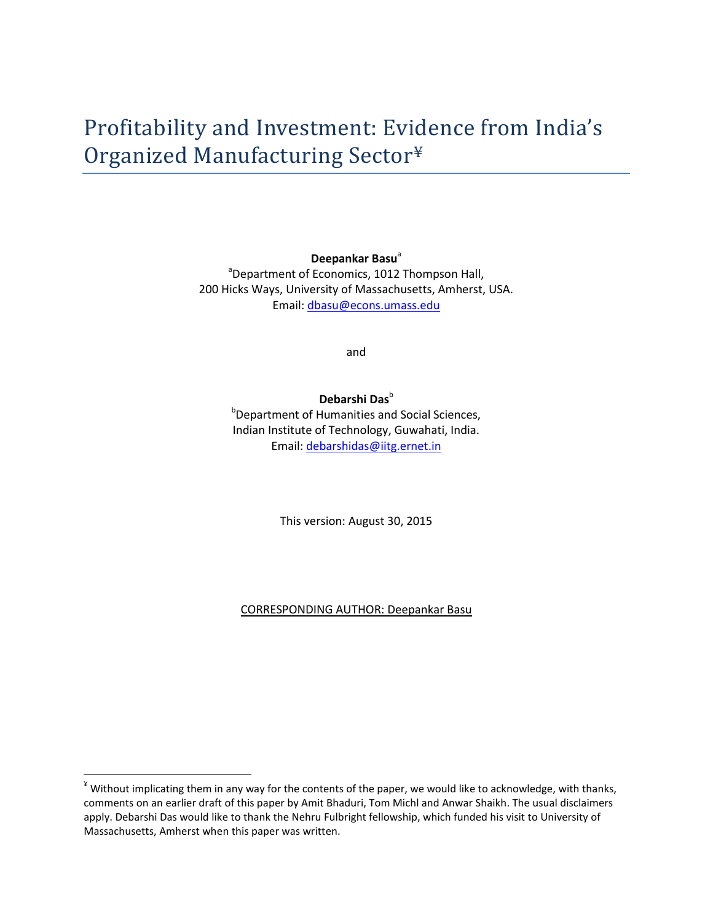**Deepankar Basu**<sup>a</sup> <sup>a</sup>Department of Economics, 1012 Thompson Hall, 200 Hicks Ways, University of Massachusetts, Amherst, USA. Email: [dbasu@econs.umass.edu](mailto:dbasu@econs.umass.edu)

and

#### Debarshi Das<sup>b</sup>

<sup>b</sup>Department of Humanities and Social Sciences, Indian Institute of Technology, Guwahati, India. Email: [debarshidas@iitg.ernet.in](mailto:debarshidas@iitg.ernet.in)

This version: August 30, 2015

CORRESPONDING AUTHOR: Deepankar Basu

<span id="page-2-0"></span> $*$  Without implicating them in any way for the contents of the paper, we would like to acknowledge, with thanks, comments on an earlier draft of this paper by Amit Bhaduri, Tom Michl and Anwar Shaikh. The usual disclaimers apply. Debarshi Das would like to thank the Nehru Fulbright fellowship, which funded his visit to University of Massachusetts, Amherst when this paper was written.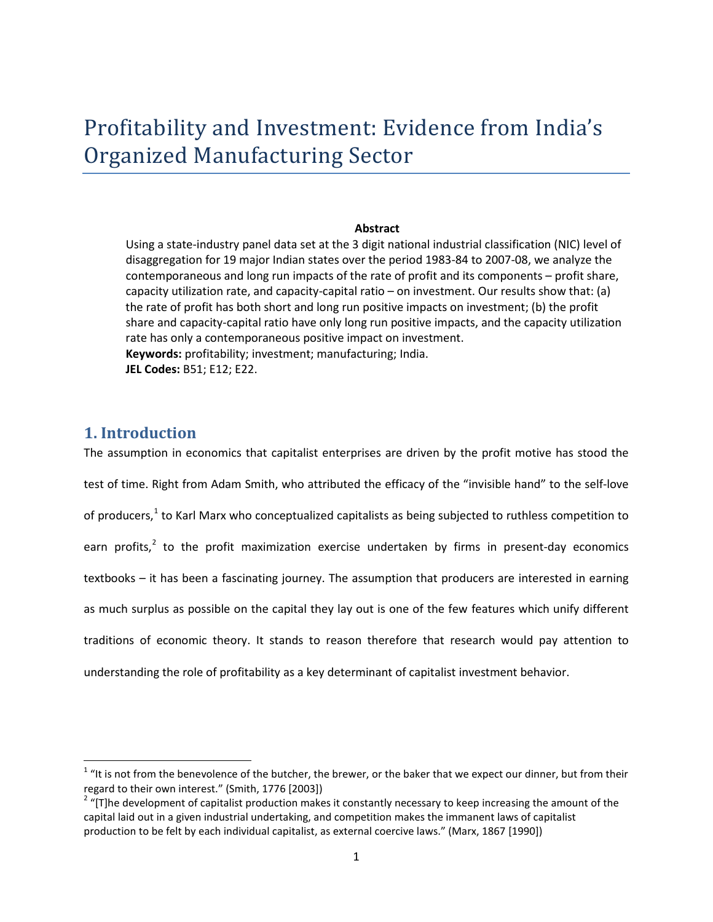## Profitability and Investment: Evidence from India's Organized Manufacturing Sector

#### **Abstract**

Using a state-industry panel data set at the 3 digit national industrial classification (NIC) level of disaggregation for 19 major Indian states over the period 1983-84 to 2007-08, we analyze the contemporaneous and long run impacts of the rate of profit and its components – profit share, capacity utilization rate, and capacity-capital ratio – on investment. Our results show that: (a) the rate of profit has both short and long run positive impacts on investment; (b) the profit share and capacity-capital ratio have only long run positive impacts, and the capacity utilization rate has only a contemporaneous positive impact on investment. **Keywords:** profitability; investment; manufacturing; India. **JEL Codes:** B51; E12; E22.

#### **1. Introduction**

The assumption in economics that capitalist enterprises are driven by the profit motive has stood the test of time. Right from Adam Smith, who attributed the efficacy of the "invisible hand" to the self-love of producers, $<sup>1</sup>$  $<sup>1</sup>$  $<sup>1</sup>$  to Karl Marx who conceptualized capitalists as being subjected to ruthless competition to</sup> earn profits, $^2$  $^2$  to the profit maximization exercise undertaken by firms in present-day economics textbooks – it has been a fascinating journey. The assumption that producers are interested in earning as much surplus as possible on the capital they lay out is one of the few features which unify different traditions of economic theory. It stands to reason therefore that research would pay attention to understanding the role of profitability as a key determinant of capitalist investment behavior.

<span id="page-3-0"></span> $1$  "It is not from the benevolence of the butcher, the brewer, or the baker that we expect our dinner, but from their regard to their own interest." (Smith, 1776 [2003])<br><sup>2</sup> "[T]he development of capitalist production makes it constantly necessary to keep increasing the amount of the

<span id="page-3-1"></span>capital laid out in a given industrial undertaking, and competition makes the immanent laws of capitalist production to be felt by each individual capitalist, as external coercive laws." (Marx, 1867 [1990])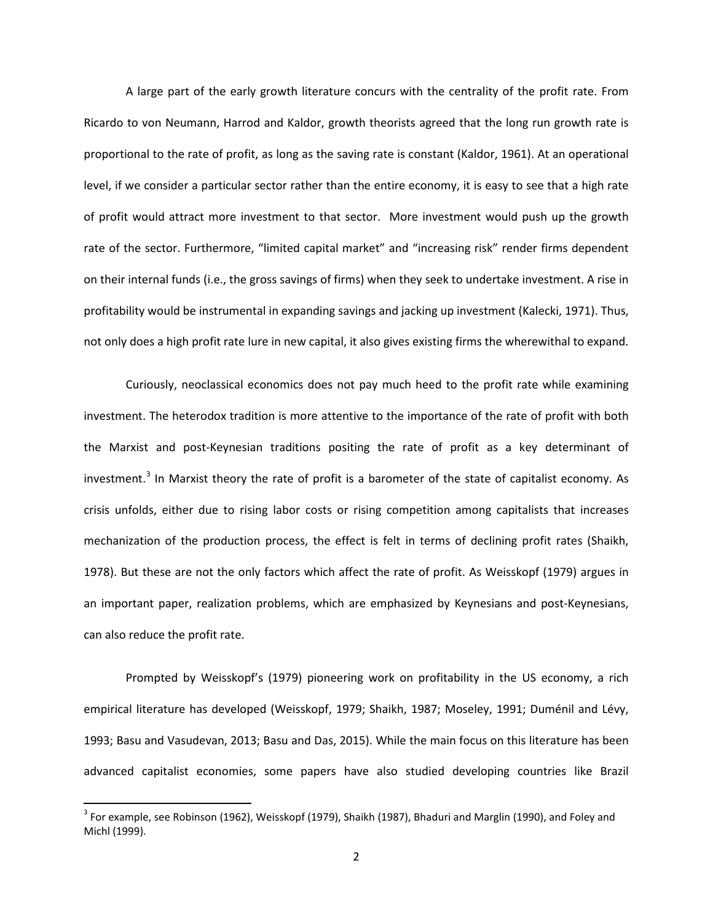A large part of the early growth literature concurs with the centrality of the profit rate. From Ricardo to von Neumann, Harrod and Kaldor, growth theorists agreed that the long run growth rate is proportional to the rate of profit, as long as the saving rate is constant (Kaldor, 1961). At an operational level, if we consider a particular sector rather than the entire economy, it is easy to see that a high rate of profit would attract more investment to that sector. More investment would push up the growth rate of the sector. Furthermore, "limited capital market" and "increasing risk" render firms dependent on their internal funds (i.e., the gross savings of firms) when they seek to undertake investment. A rise in profitability would be instrumental in expanding savings and jacking up investment (Kalecki, 1971). Thus, not only does a high profit rate lure in new capital, it also gives existing firms the wherewithal to expand.

Curiously, neoclassical economics does not pay much heed to the profit rate while examining investment. The heterodox tradition is more attentive to the importance of the rate of profit with both the Marxist and post-Keynesian traditions positing the rate of profit as a key determinant of investment.<sup>[3](#page-4-0)</sup> In Marxist theory the rate of profit is a barometer of the state of capitalist economy. As crisis unfolds, either due to rising labor costs or rising competition among capitalists that increases mechanization of the production process, the effect is felt in terms of declining profit rates (Shaikh, 1978). But these are not the only factors which affect the rate of profit. As Weisskopf (1979) argues in an important paper, realization problems, which are emphasized by Keynesians and post-Keynesians, can also reduce the profit rate.

Prompted by Weisskopf's (1979) pioneering work on profitability in the US economy, a rich empirical literature has developed (Weisskopf, 1979; Shaikh, 1987; Moseley, 1991; Duménil and Lévy, 1993; Basu and Vasudevan, 2013; Basu and Das, 2015). While the main focus on this literature has been advanced capitalist economies, some papers have also studied developing countries like Brazil

<span id="page-4-0"></span> $3$  For example, see Robinson (1962), Weisskopf (1979), Shaikh (1987), Bhaduri and Marglin (1990), and Foley and Michl (1999).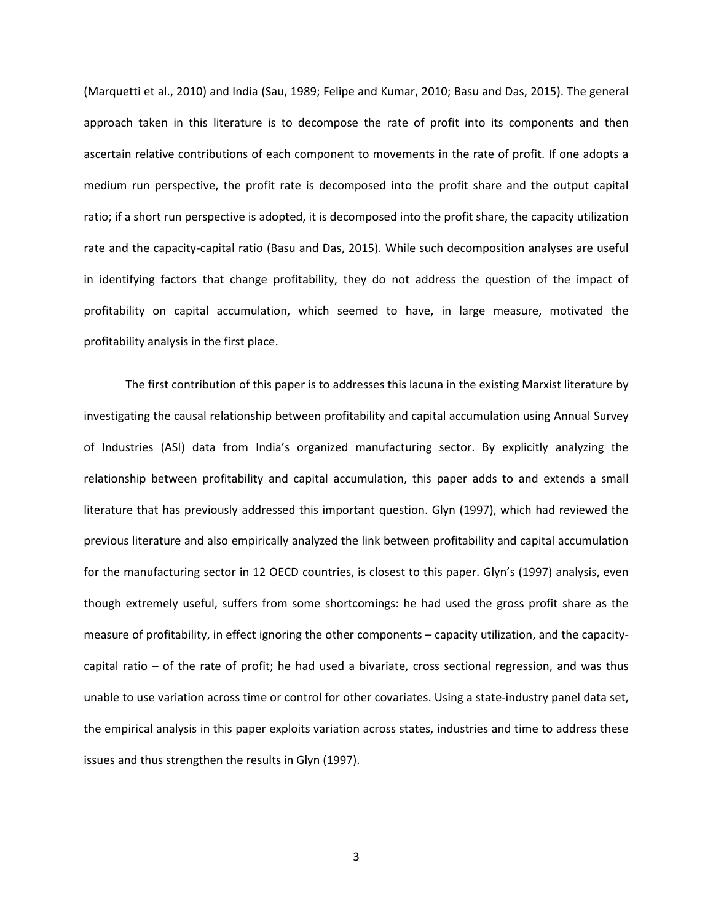(Marquetti et al., 2010) and India (Sau, 1989; Felipe and Kumar, 2010; Basu and Das, 2015). The general approach taken in this literature is to decompose the rate of profit into its components and then ascertain relative contributions of each component to movements in the rate of profit. If one adopts a medium run perspective, the profit rate is decomposed into the profit share and the output capital ratio; if a short run perspective is adopted, it is decomposed into the profit share, the capacity utilization rate and the capacity-capital ratio (Basu and Das, 2015). While such decomposition analyses are useful in identifying factors that change profitability, they do not address the question of the impact of profitability on capital accumulation, which seemed to have, in large measure, motivated the profitability analysis in the first place.

The first contribution of this paper is to addresses this lacuna in the existing Marxist literature by investigating the causal relationship between profitability and capital accumulation using Annual Survey of Industries (ASI) data from India's organized manufacturing sector. By explicitly analyzing the relationship between profitability and capital accumulation, this paper adds to and extends a small literature that has previously addressed this important question. Glyn (1997), which had reviewed the previous literature and also empirically analyzed the link between profitability and capital accumulation for the manufacturing sector in 12 OECD countries, is closest to this paper. Glyn's (1997) analysis, even though extremely useful, suffers from some shortcomings: he had used the gross profit share as the measure of profitability, in effect ignoring the other components – capacity utilization, and the capacitycapital ratio – of the rate of profit; he had used a bivariate, cross sectional regression, and was thus unable to use variation across time or control for other covariates. Using a state-industry panel data set, the empirical analysis in this paper exploits variation across states, industries and time to address these issues and thus strengthen the results in Glyn (1997).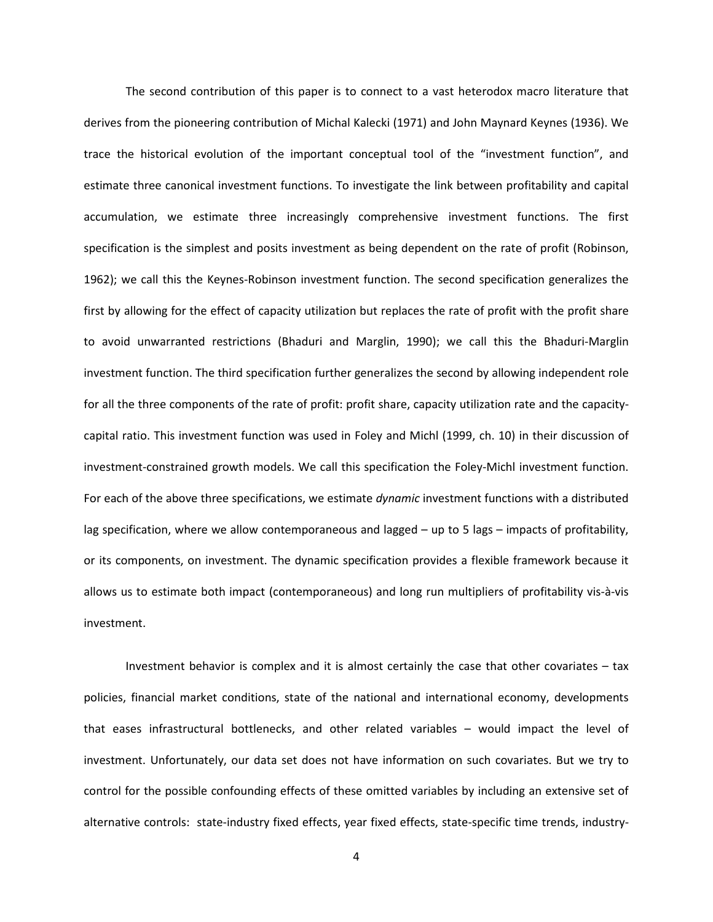The second contribution of this paper is to connect to a vast heterodox macro literature that derives from the pioneering contribution of Michal Kalecki (1971) and John Maynard Keynes (1936). We trace the historical evolution of the important conceptual tool of the "investment function", and estimate three canonical investment functions. To investigate the link between profitability and capital accumulation, we estimate three increasingly comprehensive investment functions. The first specification is the simplest and posits investment as being dependent on the rate of profit (Robinson, 1962); we call this the Keynes-Robinson investment function. The second specification generalizes the first by allowing for the effect of capacity utilization but replaces the rate of profit with the profit share to avoid unwarranted restrictions (Bhaduri and Marglin, 1990); we call this the Bhaduri-Marglin investment function. The third specification further generalizes the second by allowing independent role for all the three components of the rate of profit: profit share, capacity utilization rate and the capacitycapital ratio. This investment function was used in Foley and Michl (1999, ch. 10) in their discussion of investment-constrained growth models. We call this specification the Foley-Michl investment function. For each of the above three specifications, we estimate *dynamic* investment functions with a distributed lag specification, where we allow contemporaneous and lagged – up to 5 lags – impacts of profitability, or its components, on investment. The dynamic specification provides a flexible framework because it allows us to estimate both impact (contemporaneous) and long run multipliers of profitability vis-à-vis investment.

Investment behavior is complex and it is almost certainly the case that other covariates – tax policies, financial market conditions, state of the national and international economy, developments that eases infrastructural bottlenecks, and other related variables – would impact the level of investment. Unfortunately, our data set does not have information on such covariates. But we try to control for the possible confounding effects of these omitted variables by including an extensive set of alternative controls: state-industry fixed effects, year fixed effects, state-specific time trends, industry-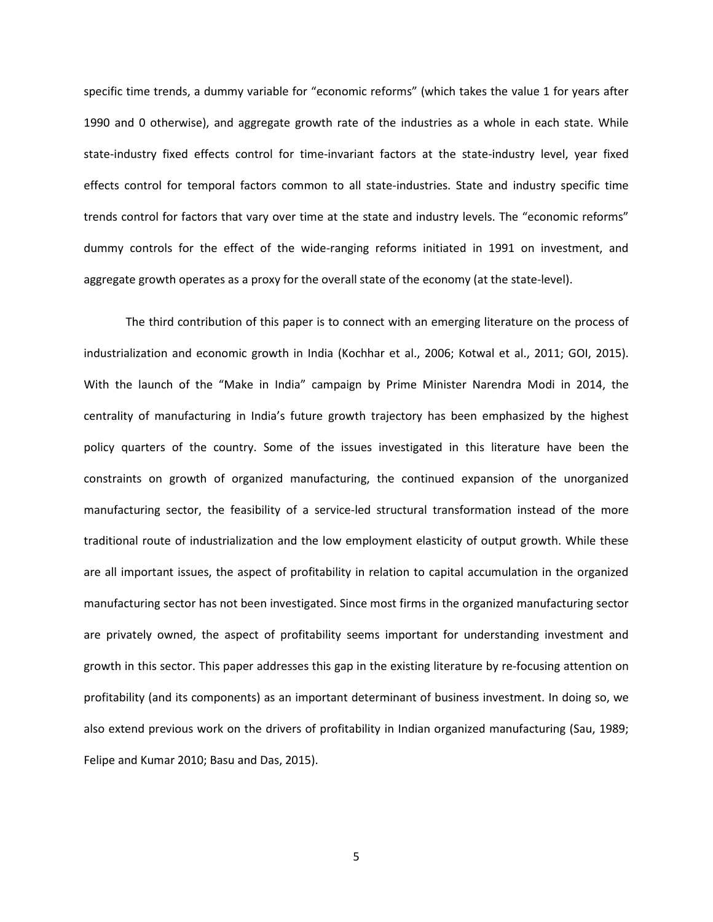specific time trends, a dummy variable for "economic reforms" (which takes the value 1 for years after 1990 and 0 otherwise), and aggregate growth rate of the industries as a whole in each state. While state-industry fixed effects control for time-invariant factors at the state-industry level, year fixed effects control for temporal factors common to all state-industries. State and industry specific time trends control for factors that vary over time at the state and industry levels. The "economic reforms" dummy controls for the effect of the wide-ranging reforms initiated in 1991 on investment, and aggregate growth operates as a proxy for the overall state of the economy (at the state-level).

The third contribution of this paper is to connect with an emerging literature on the process of industrialization and economic growth in India (Kochhar et al., 2006; Kotwal et al., 2011; GOI, 2015). With the launch of the "Make in India" campaign by Prime Minister Narendra Modi in 2014, the centrality of manufacturing in India's future growth trajectory has been emphasized by the highest policy quarters of the country. Some of the issues investigated in this literature have been the constraints on growth of organized manufacturing, the continued expansion of the unorganized manufacturing sector, the feasibility of a service-led structural transformation instead of the more traditional route of industrialization and the low employment elasticity of output growth. While these are all important issues, the aspect of profitability in relation to capital accumulation in the organized manufacturing sector has not been investigated. Since most firms in the organized manufacturing sector are privately owned, the aspect of profitability seems important for understanding investment and growth in this sector. This paper addresses this gap in the existing literature by re-focusing attention on profitability (and its components) as an important determinant of business investment. In doing so, we also extend previous work on the drivers of profitability in Indian organized manufacturing (Sau, 1989; Felipe and Kumar 2010; Basu and Das, 2015).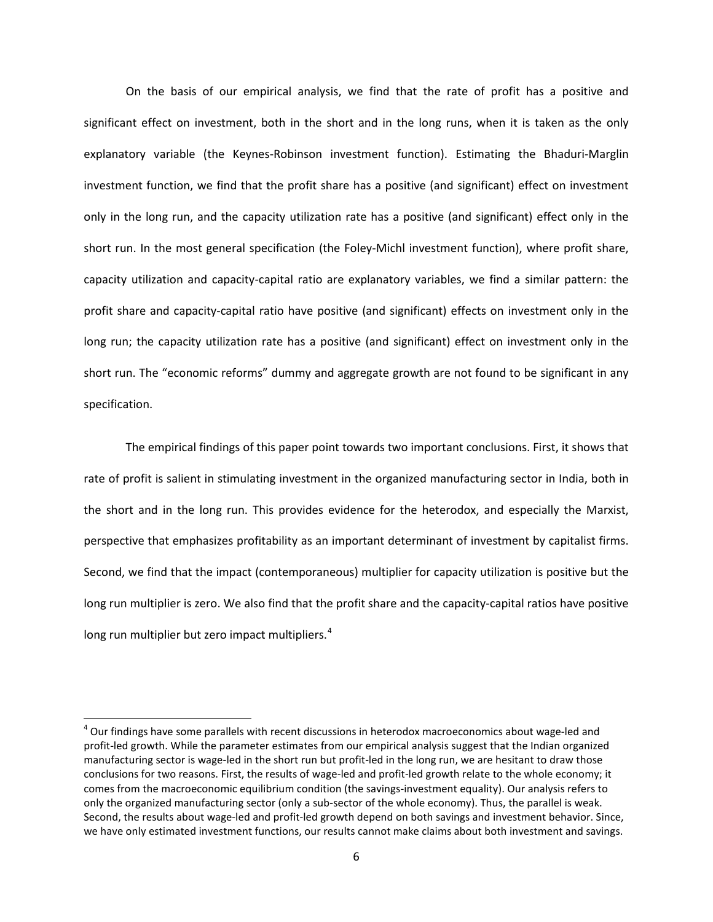On the basis of our empirical analysis, we find that the rate of profit has a positive and significant effect on investment, both in the short and in the long runs, when it is taken as the only explanatory variable (the Keynes-Robinson investment function). Estimating the Bhaduri-Marglin investment function, we find that the profit share has a positive (and significant) effect on investment only in the long run, and the capacity utilization rate has a positive (and significant) effect only in the short run. In the most general specification (the Foley-Michl investment function), where profit share, capacity utilization and capacity-capital ratio are explanatory variables, we find a similar pattern: the profit share and capacity-capital ratio have positive (and significant) effects on investment only in the long run; the capacity utilization rate has a positive (and significant) effect on investment only in the short run. The "economic reforms" dummy and aggregate growth are not found to be significant in any specification.

The empirical findings of this paper point towards two important conclusions. First, it shows that rate of profit is salient in stimulating investment in the organized manufacturing sector in India, both in the short and in the long run. This provides evidence for the heterodox, and especially the Marxist, perspective that emphasizes profitability as an important determinant of investment by capitalist firms. Second, we find that the impact (contemporaneous) multiplier for capacity utilization is positive but the long run multiplier is zero. We also find that the profit share and the capacity-capital ratios have positive long run multiplier but zero impact multipliers.<sup>[4](#page-8-0)</sup>

<span id="page-8-0"></span> $4$  Our findings have some parallels with recent discussions in heterodox macroeconomics about wage-led and profit-led growth. While the parameter estimates from our empirical analysis suggest that the Indian organized manufacturing sector is wage-led in the short run but profit-led in the long run, we are hesitant to draw those conclusions for two reasons. First, the results of wage-led and profit-led growth relate to the whole economy; it comes from the macroeconomic equilibrium condition (the savings-investment equality). Our analysis refers to only the organized manufacturing sector (only a sub-sector of the whole economy). Thus, the parallel is weak. Second, the results about wage-led and profit-led growth depend on both savings and investment behavior. Since, we have only estimated investment functions, our results cannot make claims about both investment and savings.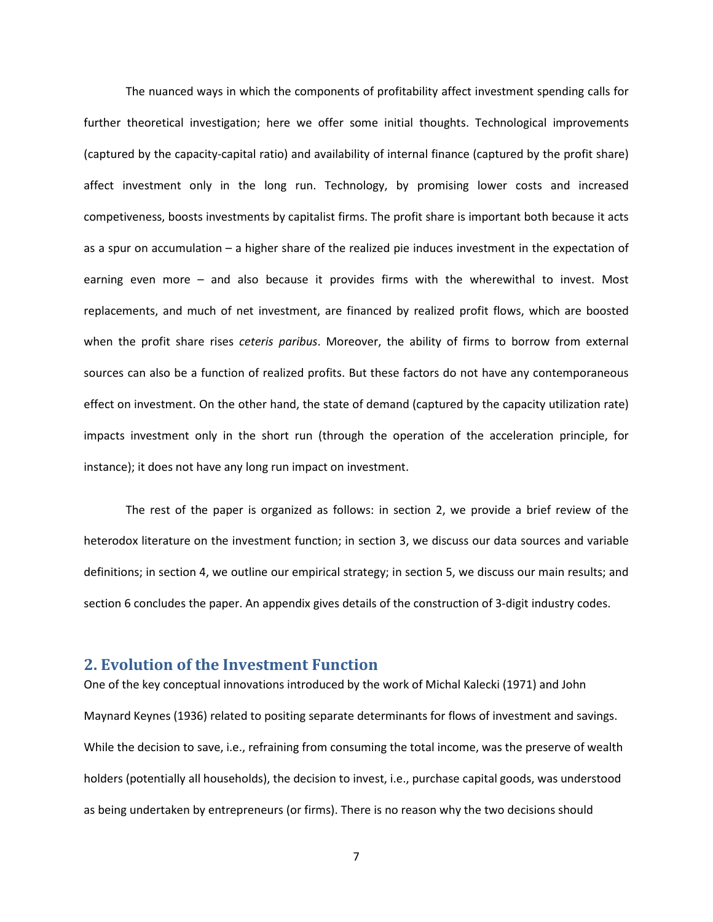The nuanced ways in which the components of profitability affect investment spending calls for further theoretical investigation; here we offer some initial thoughts. Technological improvements (captured by the capacity-capital ratio) and availability of internal finance (captured by the profit share) affect investment only in the long run. Technology, by promising lower costs and increased competiveness, boosts investments by capitalist firms. The profit share is important both because it acts as a spur on accumulation – a higher share of the realized pie induces investment in the expectation of earning even more – and also because it provides firms with the wherewithal to invest. Most replacements, and much of net investment, are financed by realized profit flows, which are boosted when the profit share rises *ceteris paribus*. Moreover, the ability of firms to borrow from external sources can also be a function of realized profits. But these factors do not have any contemporaneous effect on investment. On the other hand, the state of demand (captured by the capacity utilization rate) impacts investment only in the short run (through the operation of the acceleration principle, for instance); it does not have any long run impact on investment.

The rest of the paper is organized as follows: in section 2, we provide a brief review of the heterodox literature on the investment function; in section 3, we discuss our data sources and variable definitions; in section 4, we outline our empirical strategy; in section 5, we discuss our main results; and section 6 concludes the paper. An appendix gives details of the construction of 3-digit industry codes.

#### **2. Evolution of the Investment Function**

One of the key conceptual innovations introduced by the work of Michal Kalecki (1971) and John Maynard Keynes (1936) related to positing separate determinants for flows of investment and savings. While the decision to save, i.e., refraining from consuming the total income, was the preserve of wealth holders (potentially all households), the decision to invest, i.e., purchase capital goods, was understood as being undertaken by entrepreneurs (or firms). There is no reason why the two decisions should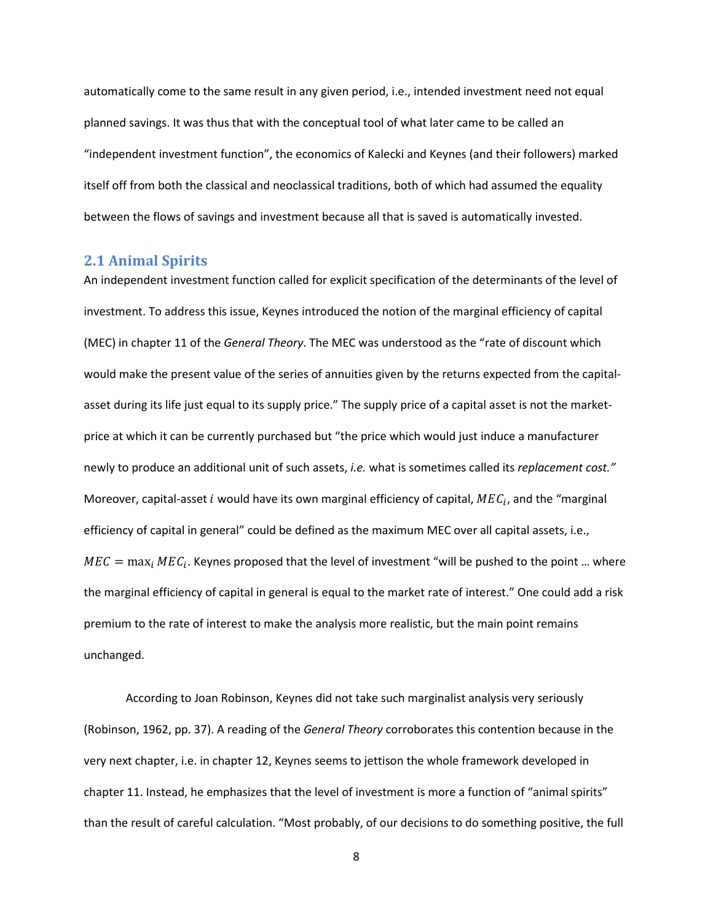automatically come to the same result in any given period, i.e., intended investment need not equal planned savings. It was thus that with the conceptual tool of what later came to be called an "independent investment function", the economics of Kalecki and Keynes (and their followers) marked itself off from both the classical and neoclassical traditions, both of which had assumed the equality between the flows of savings and investment because all that is saved is automatically invested.

#### **2.1 Animal Spirits**

An independent investment function called for explicit specification of the determinants of the level of investment. To address this issue, Keynes introduced the notion of the marginal efficiency of capital (MEC) in chapter 11 of the *General Theory*. The MEC was understood as the "rate of discount which would make the present value of the series of annuities given by the returns expected from the capitalasset during its life just equal to its supply price." The supply price of a capital asset is not the marketprice at which it can be currently purchased but "the price which would just induce a manufacturer newly to produce an additional unit of such assets, *i.e.* what is sometimes called its *replacement cost."* Moreover, capital-asset *i* would have its own marginal efficiency of capital,  $MEC_i$ , and the "marginal efficiency of capital in general" could be defined as the maximum MEC over all capital assets, i.e.,  $MEC = \max_i MEC_i$ . Keynes proposed that the level of investment "will be pushed to the point ... where the marginal efficiency of capital in general is equal to the market rate of interest." One could add a risk premium to the rate of interest to make the analysis more realistic, but the main point remains unchanged.

According to Joan Robinson, Keynes did not take such marginalist analysis very seriously (Robinson, 1962, pp. 37). A reading of the *General Theory* corroborates this contention because in the very next chapter, i.e. in chapter 12, Keynes seems to jettison the whole framework developed in chapter 11. Instead, he emphasizes that the level of investment is more a function of "animal spirits" than the result of careful calculation. "Most probably, of our decisions to do something positive, the full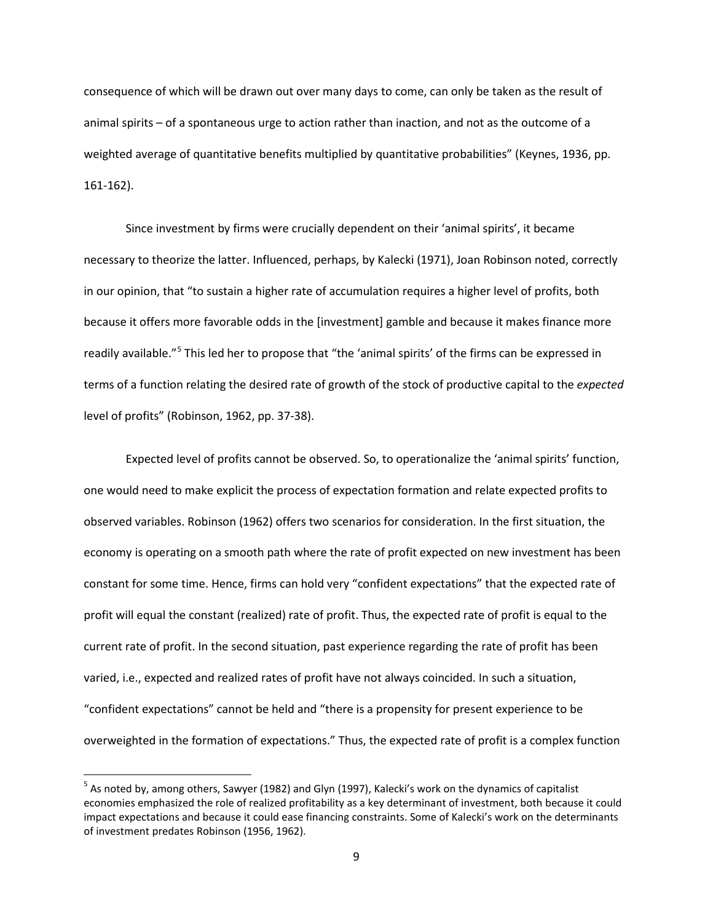consequence of which will be drawn out over many days to come, can only be taken as the result of animal spirits – of a spontaneous urge to action rather than inaction, and not as the outcome of a weighted average of quantitative benefits multiplied by quantitative probabilities" (Keynes, 1936, pp. 161-162).

Since investment by firms were crucially dependent on their 'animal spirits', it became necessary to theorize the latter. Influenced, perhaps, by Kalecki (1971), Joan Robinson noted, correctly in our opinion, that "to sustain a higher rate of accumulation requires a higher level of profits, both because it offers more favorable odds in the [investment] gamble and because it makes finance more readily available."<sup>[5](#page-11-0)</sup> This led her to propose that "the 'animal spirits' of the firms can be expressed in terms of a function relating the desired rate of growth of the stock of productive capital to the *expected* level of profits" (Robinson, 1962, pp. 37-38).

Expected level of profits cannot be observed. So, to operationalize the 'animal spirits' function, one would need to make explicit the process of expectation formation and relate expected profits to observed variables. Robinson (1962) offers two scenarios for consideration. In the first situation, the economy is operating on a smooth path where the rate of profit expected on new investment has been constant for some time. Hence, firms can hold very "confident expectations" that the expected rate of profit will equal the constant (realized) rate of profit. Thus, the expected rate of profit is equal to the current rate of profit. In the second situation, past experience regarding the rate of profit has been varied, i.e., expected and realized rates of profit have not always coincided. In such a situation, "confident expectations" cannot be held and "there is a propensity for present experience to be overweighted in the formation of expectations." Thus, the expected rate of profit is a complex function

<span id="page-11-0"></span> $<sup>5</sup>$  As noted by, among others, Sawyer (1982) and Glyn (1997), Kalecki's work on the dynamics of capitalist</sup> economies emphasized the role of realized profitability as a key determinant of investment, both because it could impact expectations and because it could ease financing constraints. Some of Kalecki's work on the determinants of investment predates Robinson (1956, 1962).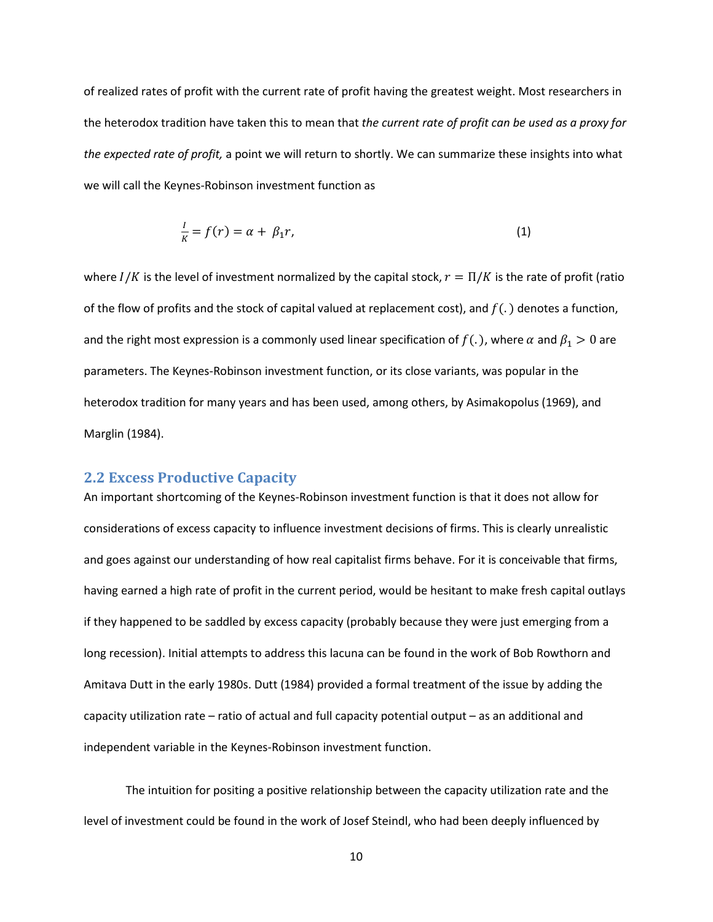of realized rates of profit with the current rate of profit having the greatest weight. Most researchers in the heterodox tradition have taken this to mean that *the current rate of profit can be used as a proxy for the expected rate of profit,* a point we will return to shortly. We can summarize these insights into what we will call the Keynes-Robinson investment function as

$$
\frac{1}{K} = f(r) = \alpha + \beta_1 r,\tag{1}
$$

where  $I/K$  is the level of investment normalized by the capital stock,  $r = \Pi/K$  is the rate of profit (ratio of the flow of profits and the stock of capital valued at replacement cost), and  $f(.)$  denotes a function, and the right most expression is a commonly used linear specification of  $f(.)$ , where  $\alpha$  and  $\beta_1 > 0$  are parameters. The Keynes-Robinson investment function, or its close variants, was popular in the heterodox tradition for many years and has been used, among others, by Asimakopolus (1969), and Marglin (1984).

#### **2.2 Excess Productive Capacity**

An important shortcoming of the Keynes-Robinson investment function is that it does not allow for considerations of excess capacity to influence investment decisions of firms. This is clearly unrealistic and goes against our understanding of how real capitalist firms behave. For it is conceivable that firms, having earned a high rate of profit in the current period, would be hesitant to make fresh capital outlays if they happened to be saddled by excess capacity (probably because they were just emerging from a long recession). Initial attempts to address this lacuna can be found in the work of Bob Rowthorn and Amitava Dutt in the early 1980s. Dutt (1984) provided a formal treatment of the issue by adding the capacity utilization rate – ratio of actual and full capacity potential output – as an additional and independent variable in the Keynes-Robinson investment function.

The intuition for positing a positive relationship between the capacity utilization rate and the level of investment could be found in the work of Josef Steindl, who had been deeply influenced by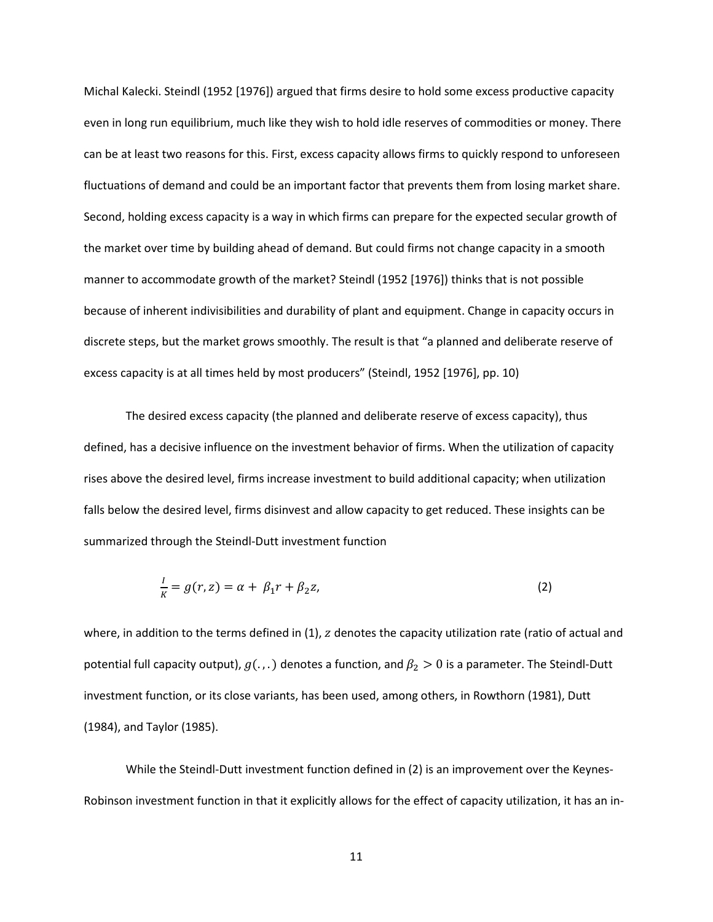Michal Kalecki. Steindl (1952 [1976]) argued that firms desire to hold some excess productive capacity even in long run equilibrium, much like they wish to hold idle reserves of commodities or money. There can be at least two reasons for this. First, excess capacity allows firms to quickly respond to unforeseen fluctuations of demand and could be an important factor that prevents them from losing market share. Second, holding excess capacity is a way in which firms can prepare for the expected secular growth of the market over time by building ahead of demand. But could firms not change capacity in a smooth manner to accommodate growth of the market? Steindl (1952 [1976]) thinks that is not possible because of inherent indivisibilities and durability of plant and equipment. Change in capacity occurs in discrete steps, but the market grows smoothly. The result is that "a planned and deliberate reserve of excess capacity is at all times held by most producers" (Steindl, 1952 [1976], pp. 10)

The desired excess capacity (the planned and deliberate reserve of excess capacity), thus defined, has a decisive influence on the investment behavior of firms. When the utilization of capacity rises above the desired level, firms increase investment to build additional capacity; when utilization falls below the desired level, firms disinvest and allow capacity to get reduced. These insights can be summarized through the Steindl-Dutt investment function

$$
\frac{1}{K} = g(r, z) = \alpha + \beta_1 r + \beta_2 z,\tag{2}
$$

where, in addition to the terms defined in  $(1)$ ,  $z$  denotes the capacity utilization rate (ratio of actual and potential full capacity output),  $g(.,.)$  denotes a function, and  $\beta_2 > 0$  is a parameter. The Steindl-Dutt investment function, or its close variants, has been used, among others, in Rowthorn (1981), Dutt (1984), and Taylor (1985).

While the Steindl-Dutt investment function defined in (2) is an improvement over the Keynes-Robinson investment function in that it explicitly allows for the effect of capacity utilization, it has an in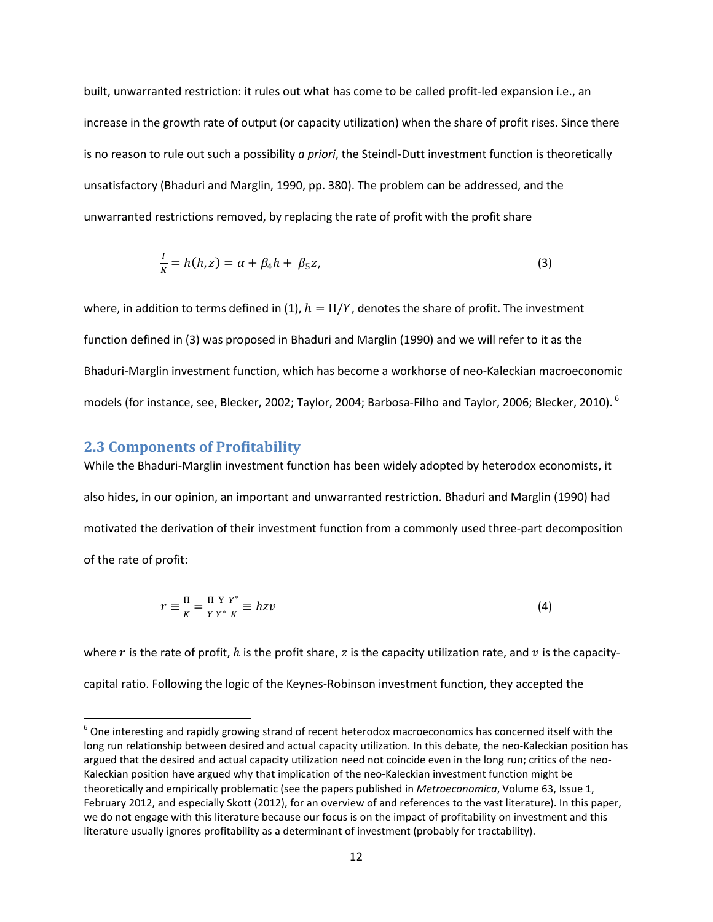built, unwarranted restriction: it rules out what has come to be called profit-led expansion i.e., an increase in the growth rate of output (or capacity utilization) when the share of profit rises. Since there is no reason to rule out such a possibility *a priori*, the Steindl-Dutt investment function is theoretically unsatisfactory (Bhaduri and Marglin, 1990, pp. 380). The problem can be addressed, and the unwarranted restrictions removed, by replacing the rate of profit with the profit share

$$
\frac{I}{K} = h(h, z) = \alpha + \beta_4 h + \beta_5 z,\tag{3}
$$

where, in addition to terms defined in (1),  $h = \Pi/Y$ , denotes the share of profit. The investment function defined in (3) was proposed in Bhaduri and Marglin (1990) and we will refer to it as the Bhaduri-Marglin investment function, which has become a workhorse of neo-Kaleckian macroeconomic models (for instance, see, Blecker, 2002; Taylor, 2004; Barbosa-Filho and Taylor, 2006; Blecker, 2010). [6](#page-14-0)

#### **2.3 Components of Profitability**

While the Bhaduri-Marglin investment function has been widely adopted by heterodox economists, it also hides, in our opinion, an important and unwarranted restriction. Bhaduri and Marglin (1990) had motivated the derivation of their investment function from a commonly used three-part decomposition of the rate of profit:

$$
r \equiv \frac{\Pi}{K} = \frac{\Pi Y Y^*}{Y Y^*} \stackrel{Y^*}{=} h z v \tag{4}
$$

where r is the rate of profit, h is the profit share, z is the capacity utilization rate, and  $v$  is the capacitycapital ratio. Following the logic of the Keynes-Robinson investment function, they accepted the

<span id="page-14-0"></span> $6$  One interesting and rapidly growing strand of recent heterodox macroeconomics has concerned itself with the long run relationship between desired and actual capacity utilization. In this debate, the neo-Kaleckian position has argued that the desired and actual capacity utilization need not coincide even in the long run; critics of the neo-Kaleckian position have argued why that implication of the neo-Kaleckian investment function might be theoretically and empirically problematic (see the papers published in *Metroeconomica*, Volume 63, Issue 1, February 2012, and especially Skott (2012), for an overview of and references to the vast literature). In this paper, we do not engage with this literature because our focus is on the impact of profitability on investment and this literature usually ignores profitability as a determinant of investment (probably for tractability).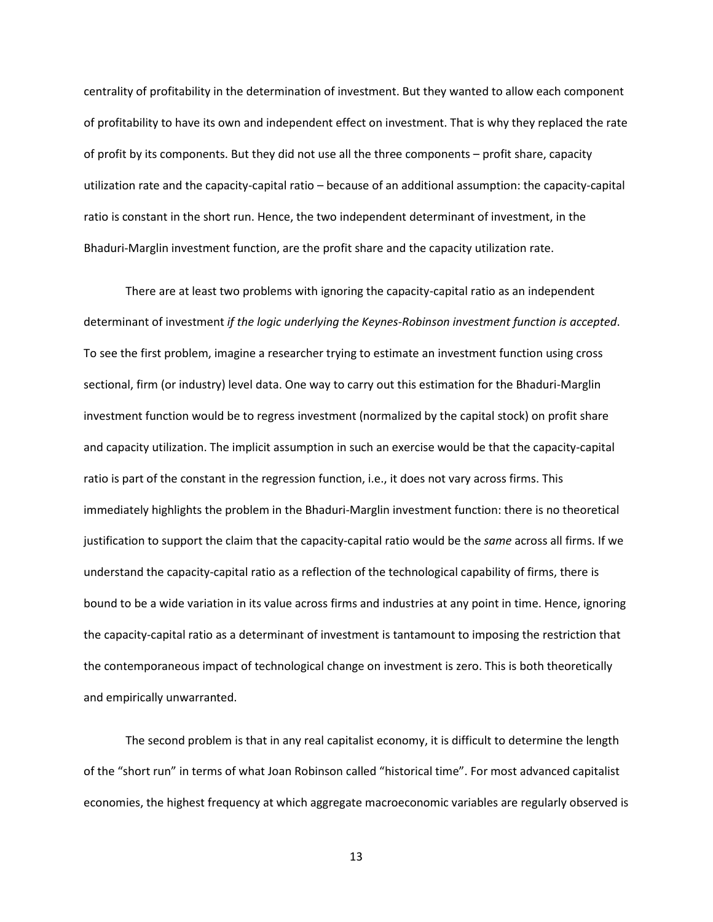centrality of profitability in the determination of investment. But they wanted to allow each component of profitability to have its own and independent effect on investment. That is why they replaced the rate of profit by its components. But they did not use all the three components – profit share, capacity utilization rate and the capacity-capital ratio – because of an additional assumption: the capacity-capital ratio is constant in the short run. Hence, the two independent determinant of investment, in the Bhaduri-Marglin investment function, are the profit share and the capacity utilization rate.

There are at least two problems with ignoring the capacity-capital ratio as an independent determinant of investment *if the logic underlying the Keynes-Robinson investment function is accepted*. To see the first problem, imagine a researcher trying to estimate an investment function using cross sectional, firm (or industry) level data. One way to carry out this estimation for the Bhaduri-Marglin investment function would be to regress investment (normalized by the capital stock) on profit share and capacity utilization. The implicit assumption in such an exercise would be that the capacity-capital ratio is part of the constant in the regression function, i.e., it does not vary across firms. This immediately highlights the problem in the Bhaduri-Marglin investment function: there is no theoretical justification to support the claim that the capacity-capital ratio would be the *same* across all firms. If we understand the capacity-capital ratio as a reflection of the technological capability of firms, there is bound to be a wide variation in its value across firms and industries at any point in time. Hence, ignoring the capacity-capital ratio as a determinant of investment is tantamount to imposing the restriction that the contemporaneous impact of technological change on investment is zero. This is both theoretically and empirically unwarranted.

The second problem is that in any real capitalist economy, it is difficult to determine the length of the "short run" in terms of what Joan Robinson called "historical time". For most advanced capitalist economies, the highest frequency at which aggregate macroeconomic variables are regularly observed is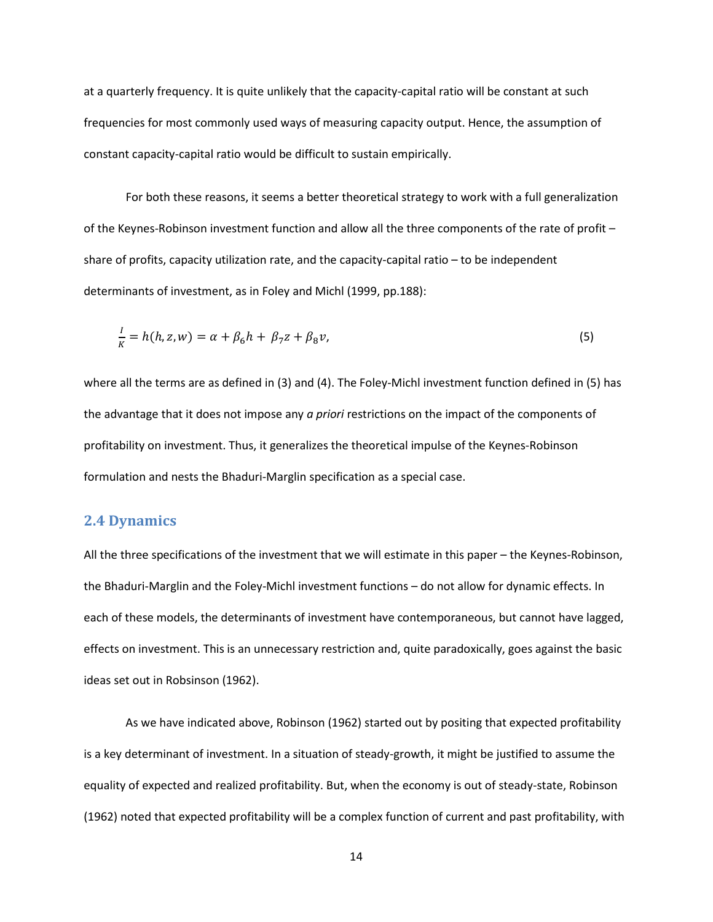at a quarterly frequency. It is quite unlikely that the capacity-capital ratio will be constant at such frequencies for most commonly used ways of measuring capacity output. Hence, the assumption of constant capacity-capital ratio would be difficult to sustain empirically.

For both these reasons, it seems a better theoretical strategy to work with a full generalization of the Keynes-Robinson investment function and allow all the three components of the rate of profit – share of profits, capacity utilization rate, and the capacity-capital ratio – to be independent determinants of investment, as in Foley and Michl (1999, pp.188):

$$
\frac{1}{K} = h(h, z, w) = \alpha + \beta_6 h + \beta_7 z + \beta_8 v,\tag{5}
$$

where all the terms are as defined in (3) and (4). The Foley-Michl investment function defined in (5) has the advantage that it does not impose any *a priori* restrictions on the impact of the components of profitability on investment. Thus, it generalizes the theoretical impulse of the Keynes-Robinson formulation and nests the Bhaduri-Marglin specification as a special case.

#### **2.4 Dynamics**

All the three specifications of the investment that we will estimate in this paper – the Keynes-Robinson, the Bhaduri-Marglin and the Foley-Michl investment functions – do not allow for dynamic effects. In each of these models, the determinants of investment have contemporaneous, but cannot have lagged, effects on investment. This is an unnecessary restriction and, quite paradoxically, goes against the basic ideas set out in Robsinson (1962).

As we have indicated above, Robinson (1962) started out by positing that expected profitability is a key determinant of investment. In a situation of steady-growth, it might be justified to assume the equality of expected and realized profitability. But, when the economy is out of steady-state, Robinson (1962) noted that expected profitability will be a complex function of current and past profitability, with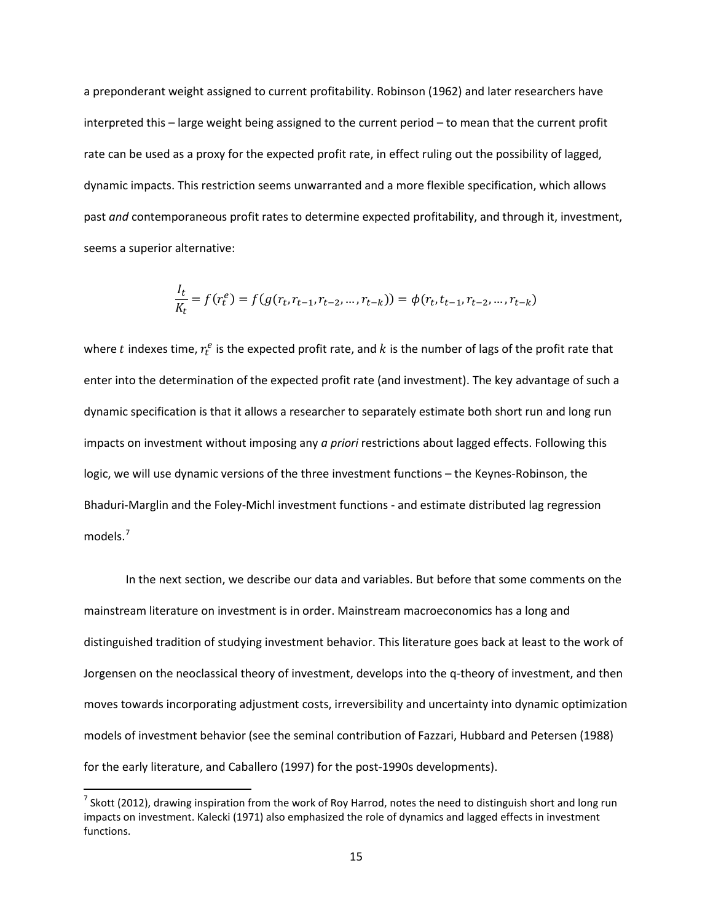a preponderant weight assigned to current profitability. Robinson (1962) and later researchers have interpreted this – large weight being assigned to the current period – to mean that the current profit rate can be used as a proxy for the expected profit rate, in effect ruling out the possibility of lagged, dynamic impacts. This restriction seems unwarranted and a more flexible specification, which allows past *and* contemporaneous profit rates to determine expected profitability, and through it, investment, seems a superior alternative:

$$
\frac{I_t}{K_t} = f(r_t^e) = f(g(r_t, r_{t-1}, r_{t-2}, \dots, r_{t-k})) = \phi(r_t, t_{t-1}, r_{t-2}, \dots, r_{t-k})
$$

where  $t$  indexes time,  $r_t^e$  is the expected profit rate, and  $k$  is the number of lags of the profit rate that enter into the determination of the expected profit rate (and investment). The key advantage of such a dynamic specification is that it allows a researcher to separately estimate both short run and long run impacts on investment without imposing any *a priori* restrictions about lagged effects. Following this logic, we will use dynamic versions of the three investment functions – the Keynes-Robinson, the Bhaduri-Marglin and the Foley-Michl investment functions - and estimate distributed lag regression models. [7](#page-17-0)

In the next section, we describe our data and variables. But before that some comments on the mainstream literature on investment is in order. Mainstream macroeconomics has a long and distinguished tradition of studying investment behavior. This literature goes back at least to the work of Jorgensen on the neoclassical theory of investment, develops into the q-theory of investment, and then moves towards incorporating adjustment costs, irreversibility and uncertainty into dynamic optimization models of investment behavior (see the seminal contribution of Fazzari, Hubbard and Petersen (1988) for the early literature, and Caballero (1997) for the post-1990s developments).

<span id="page-17-0"></span> $^7$  Skott (2012), drawing inspiration from the work of Roy Harrod, notes the need to distinguish short and long run impacts on investment. Kalecki (1971) also emphasized the role of dynamics and lagged effects in investment functions.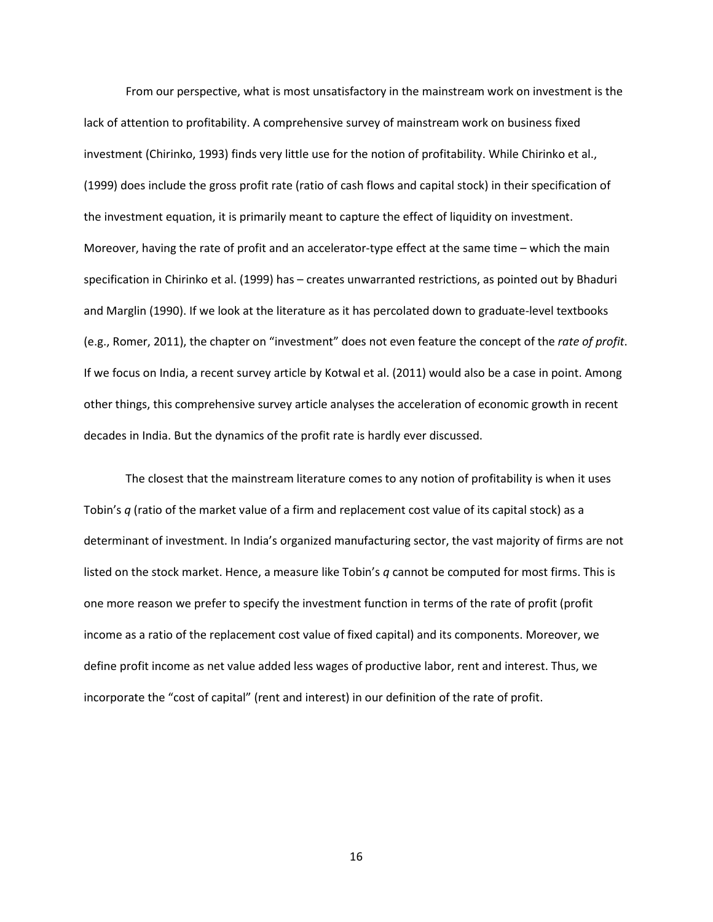From our perspective, what is most unsatisfactory in the mainstream work on investment is the lack of attention to profitability. A comprehensive survey of mainstream work on business fixed investment (Chirinko, 1993) finds very little use for the notion of profitability. While Chirinko et al., (1999) does include the gross profit rate (ratio of cash flows and capital stock) in their specification of the investment equation, it is primarily meant to capture the effect of liquidity on investment. Moreover, having the rate of profit and an accelerator-type effect at the same time – which the main specification in Chirinko et al. (1999) has – creates unwarranted restrictions, as pointed out by Bhaduri and Marglin (1990). If we look at the literature as it has percolated down to graduate-level textbooks (e.g., Romer, 2011), the chapter on "investment" does not even feature the concept of the *rate of profit*. If we focus on India, a recent survey article by Kotwal et al. (2011) would also be a case in point. Among other things, this comprehensive survey article analyses the acceleration of economic growth in recent decades in India. But the dynamics of the profit rate is hardly ever discussed.

The closest that the mainstream literature comes to any notion of profitability is when it uses Tobin's *q* (ratio of the market value of a firm and replacement cost value of its capital stock) as a determinant of investment. In India's organized manufacturing sector, the vast majority of firms are not listed on the stock market. Hence, a measure like Tobin's *q* cannot be computed for most firms. This is one more reason we prefer to specify the investment function in terms of the rate of profit (profit income as a ratio of the replacement cost value of fixed capital) and its components. Moreover, we define profit income as net value added less wages of productive labor, rent and interest. Thus, we incorporate the "cost of capital" (rent and interest) in our definition of the rate of profit.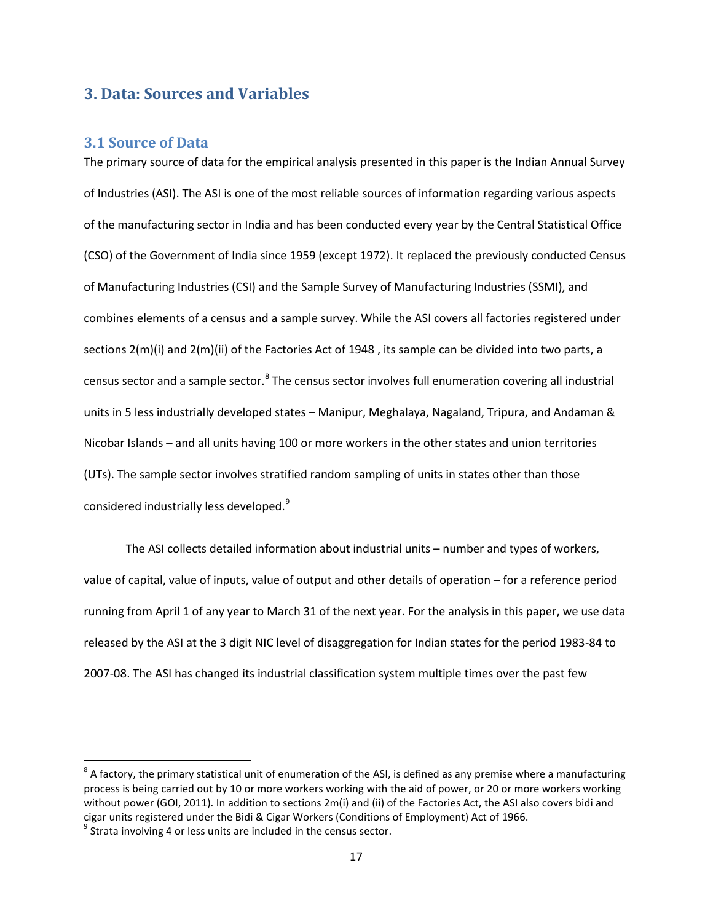#### **3. Data: Sources and Variables**

#### **3.1 Source of Data**

The primary source of data for the empirical analysis presented in this paper is the Indian Annual Survey of Industries (ASI). The ASI is one of the most reliable sources of information regarding various aspects of the manufacturing sector in India and has been conducted every year by the Central Statistical Office (CSO) of the Government of India since 1959 (except 1972). It replaced the previously conducted Census of Manufacturing Industries (CSI) and the Sample Survey of Manufacturing Industries (SSMI), and combines elements of a census and a sample survey. While the ASI covers all factories registered under sections 2(m)(i) and 2(m)(ii) of the Factories Act of 1948 , its sample can be divided into two parts, a census sector and a sample sector.<sup>[8](#page-19-0)</sup> The census sector involves full enumeration covering all industrial units in 5 less industrially developed states – Manipur, Meghalaya, Nagaland, Tripura, and Andaman & Nicobar Islands – and all units having 100 or more workers in the other states and union territories (UTs). The sample sector involves stratified random sampling of units in states other than those considered industrially less developed.<sup>[9](#page-19-1)</sup>

The ASI collects detailed information about industrial units – number and types of workers, value of capital, value of inputs, value of output and other details of operation – for a reference period running from April 1 of any year to March 31 of the next year. For the analysis in this paper, we use data released by the ASI at the 3 digit NIC level of disaggregation for Indian states for the period 1983-84 to 2007-08. The ASI has changed its industrial classification system multiple times over the past few

<span id="page-19-0"></span> $8$  A factory, the primary statistical unit of enumeration of the ASI, is defined as any premise where a manufacturing process is being carried out by 10 or more workers working with the aid of power, or 20 or more workers working without power (GOI, 2011). In addition to sections 2m(i) and (ii) of the Factories Act, the ASI also covers bidi and cigar units registered under the Bidi & Cigar Workers (Conditions of Employment) Act of 1966.<br><sup>9</sup> Strata involving 4 or less units are included in the census sector.

<span id="page-19-1"></span>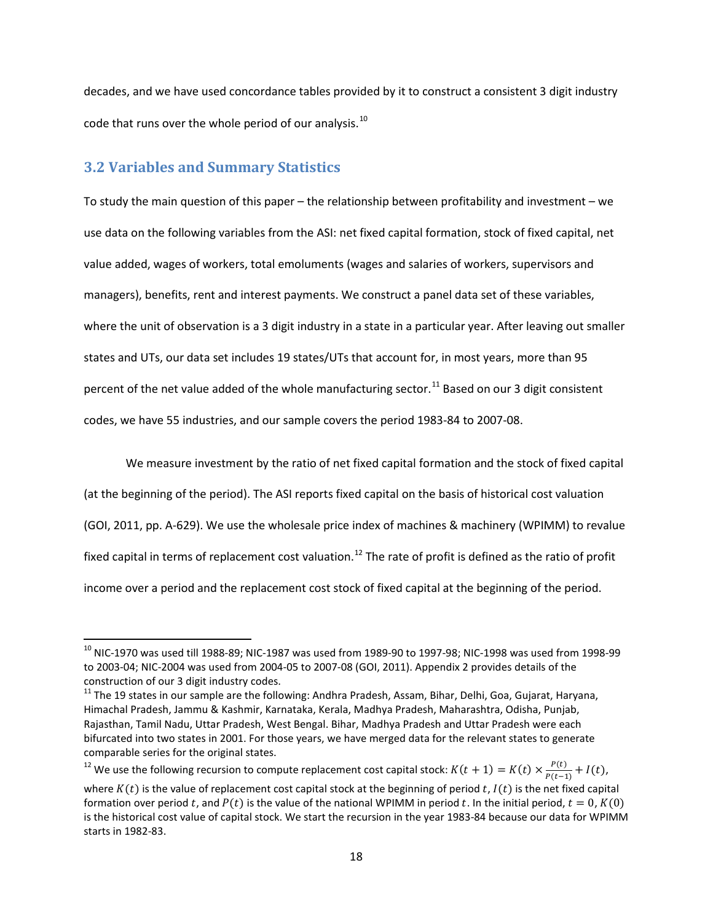decades, and we have used concordance tables provided by it to construct a consistent 3 digit industry code that runs over the whole period of our analysis. $^{10}$  $^{10}$  $^{10}$ 

#### **3.2 Variables and Summary Statistics**

To study the main question of this paper – the relationship between profitability and investment – we use data on the following variables from the ASI: net fixed capital formation, stock of fixed capital, net value added, wages of workers, total emoluments (wages and salaries of workers, supervisors and managers), benefits, rent and interest payments. We construct a panel data set of these variables, where the unit of observation is a 3 digit industry in a state in a particular year. After leaving out smaller states and UTs, our data set includes 19 states/UTs that account for, in most years, more than 95 percent of the net value added of the whole manufacturing sector.<sup>[11](#page-20-1)</sup> Based on our 3 digit consistent codes, we have 55 industries, and our sample covers the period 1983-84 to 2007-08.

We measure investment by the ratio of net fixed capital formation and the stock of fixed capital (at the beginning of the period). The ASI reports fixed capital on the basis of historical cost valuation (GOI, 2011, pp. A-629). We use the wholesale price index of machines & machinery (WPIMM) to revalue fixed capital in terms of replacement cost valuation.<sup>[12](#page-20-2)</sup> The rate of profit is defined as the ratio of profit income over a period and the replacement cost stock of fixed capital at the beginning of the period.

<span id="page-20-2"></span><sup>12</sup> We use the following recursion to compute replacement cost capital stock:  $K(t + 1) = K(t) \times \frac{P(t)}{P(t-1)} + I(t)$ ,

<span id="page-20-0"></span> $^{10}$  NIC-1970 was used till 1988-89; NIC-1987 was used from 1989-90 to 1997-98; NIC-1998 was used from 1998-99 to 2003-04; NIC-2004 was used from 2004-05 to 2007-08 (GOI, 2011). Appendix 2 provides details of the construction of our 3 digit industry codes.

<span id="page-20-1"></span><sup>11</sup> The 19 states in our sample are the following: Andhra Pradesh, Assam, Bihar, Delhi, Goa, Gujarat, Haryana, Himachal Pradesh, Jammu & Kashmir, Karnataka, Kerala, Madhya Pradesh, Maharashtra, Odisha, Punjab, Rajasthan, Tamil Nadu, Uttar Pradesh, West Bengal. Bihar, Madhya Pradesh and Uttar Pradesh were each bifurcated into two states in 2001. For those years, we have merged data for the relevant states to generate comparable series for the original states.

where  $K(t)$  is the value of replacement cost capital stock at the beginning of period t,  $I(t)$  is the net fixed capital formation over period t, and  $P(t)$  is the value of the national WPIMM in period t. In the initial period,  $t = 0$ ,  $K(0)$ is the historical cost value of capital stock. We start the recursion in the year 1983-84 because our data for WPIMM starts in 1982-83.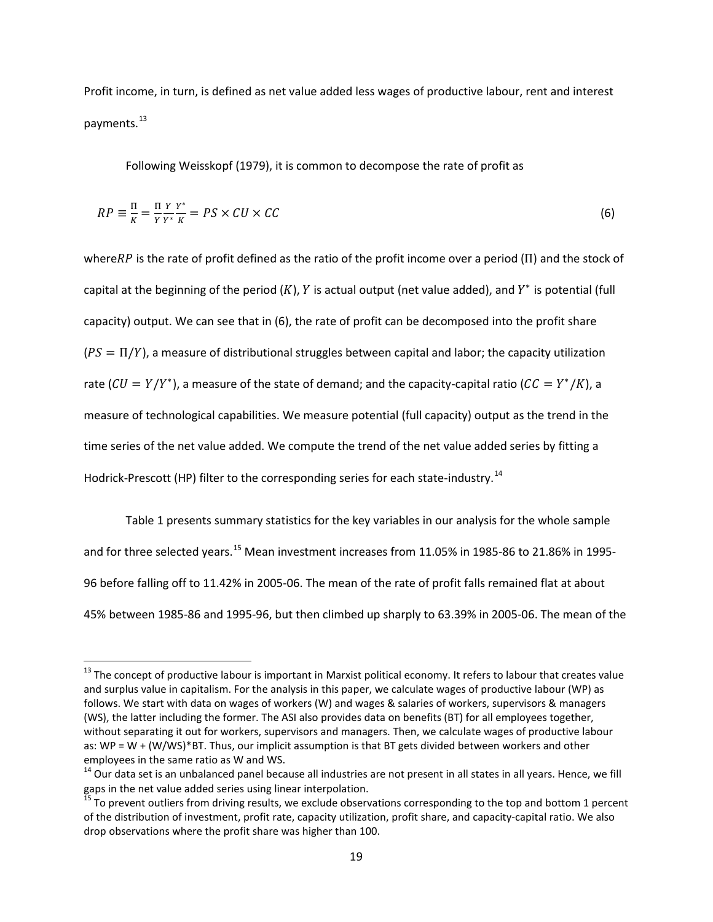Profit income, in turn, is defined as net value added less wages of productive labour, rent and interest payments.<sup>[13](#page-21-0)</sup>

Following Weisskopf (1979), it is common to decompose the rate of profit as

$$
RP \equiv \frac{\Pi}{K} = \frac{\Pi}{Y} \frac{Y}{Y^*} \frac{Y^*}{K} = PS \times CU \times CC \tag{6}
$$

where  $RP$  is the rate of profit defined as the ratio of the profit income over a period ( $\Pi$ ) and the stock of capital at the beginning of the period  $(K)$ , Y is actual output (net value added), and Y<sup>\*</sup> is potential (full capacity) output. We can see that in (6), the rate of profit can be decomposed into the profit share  $(PS = \Pi/Y)$ , a measure of distributional struggles between capital and labor; the capacity utilization rate ( $CU = Y/Y^*$ ), a measure of the state of demand; and the capacity-capital ratio ( $CC = Y^*/K$ ), a measure of technological capabilities. We measure potential (full capacity) output as the trend in the time series of the net value added. We compute the trend of the net value added series by fitting a Hodrick-Prescott (HP) filter to the corresponding series for each state-industry.<sup>[14](#page-21-1)</sup>

Table 1 presents summary statistics for the key variables in our analysis for the whole sample and for three selected years.<sup>[15](#page-21-2)</sup> Mean investment increases from 11.05% in 1985-86 to 21.86% in 1995-96 before falling off to 11.42% in 2005-06. The mean of the rate of profit falls remained flat at about 45% between 1985-86 and 1995-96, but then climbed up sharply to 63.39% in 2005-06. The mean of the

<span id="page-21-0"></span> $13$  The concept of productive labour is important in Marxist political economy. It refers to labour that creates value and surplus value in capitalism. For the analysis in this paper, we calculate wages of productive labour (WP) as follows. We start with data on wages of workers (W) and wages & salaries of workers, supervisors & managers (WS), the latter including the former. The ASI also provides data on benefits (BT) for all employees together, without separating it out for workers, supervisors and managers. Then, we calculate wages of productive labour as: WP = W + (W/WS)\*BT. Thus, our implicit assumption is that BT gets divided between workers and other

<span id="page-21-1"></span>employees in the same ratio as W and WS.<br><sup>14</sup> Our data set is an unbalanced panel because all industries are not present in all states in all years. Hence, we fill gaps in the net value added series using linear interpolation.

<span id="page-21-2"></span><sup>15</sup> To prevent outliers from driving results, we exclude observations corresponding to the top and bottom 1 percent of the distribution of investment, profit rate, capacity utilization, profit share, and capacity-capital ratio. We also drop observations where the profit share was higher than 100.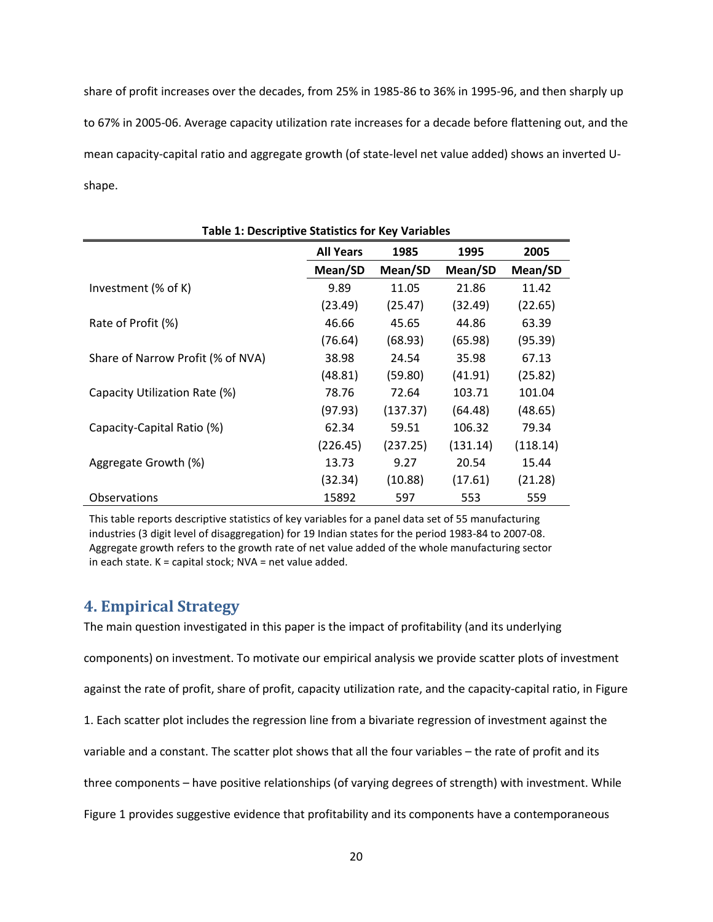share of profit increases over the decades, from 25% in 1985-86 to 36% in 1995-96, and then sharply up to 67% in 2005-06. Average capacity utilization rate increases for a decade before flattening out, and the mean capacity-capital ratio and aggregate growth (of state-level net value added) shows an inverted Ushape.

| <b>Table 1: Descriptive Statistics for Key Variables</b> |                          |          |          |          |  |
|----------------------------------------------------------|--------------------------|----------|----------|----------|--|
|                                                          | <b>All Years</b><br>1985 |          | 1995     | 2005     |  |
|                                                          | Mean/SD                  | Mean/SD  | Mean/SD  | Mean/SD  |  |
| Investment (% of K)                                      | 9.89                     | 11.05    | 21.86    | 11.42    |  |
|                                                          | (23.49)                  | (25.47)  | (32.49)  | (22.65)  |  |
| Rate of Profit (%)                                       | 46.66                    | 45.65    | 44.86    | 63.39    |  |
|                                                          | (76.64)                  | (68.93)  | (65.98)  | (95.39)  |  |
| Share of Narrow Profit (% of NVA)                        | 38.98                    | 24.54    | 35.98    | 67.13    |  |
|                                                          | (48.81)                  | (59.80)  | (41.91)  | (25.82)  |  |
| Capacity Utilization Rate (%)                            | 78.76                    | 72.64    | 103.71   | 101.04   |  |
|                                                          | (97.93)                  | (137.37) | (64.48)  | (48.65)  |  |
| Capacity-Capital Ratio (%)                               | 62.34                    | 59.51    | 106.32   | 79.34    |  |
|                                                          | (226.45)                 | (237.25) | (131.14) | (118.14) |  |
| Aggregate Growth (%)                                     | 13.73                    | 9.27     | 20.54    | 15.44    |  |
|                                                          | (32.34)                  | (10.88)  | (17.61)  | (21.28)  |  |
| Observations                                             | 15892                    | 597      | 553      | 559      |  |

This table reports descriptive statistics of key variables for a panel data set of 55 manufacturing industries (3 digit level of disaggregation) for 19 Indian states for the period 1983-84 to 2007-08. Aggregate growth refers to the growth rate of net value added of the whole manufacturing sector in each state. K = capital stock; NVA = net value added.

#### **4. Empirical Strategy**

The main question investigated in this paper is the impact of profitability (and its underlying components) on investment. To motivate our empirical analysis we provide scatter plots of investment against the rate of profit, share of profit, capacity utilization rate, and the capacity-capital ratio, in Figure 1. Each scatter plot includes the regression line from a bivariate regression of investment against the variable and a constant. The scatter plot shows that all the four variables – the rate of profit and its three components – have positive relationships (of varying degrees of strength) with investment. While

Figure 1 provides suggestive evidence that profitability and its components have a contemporaneous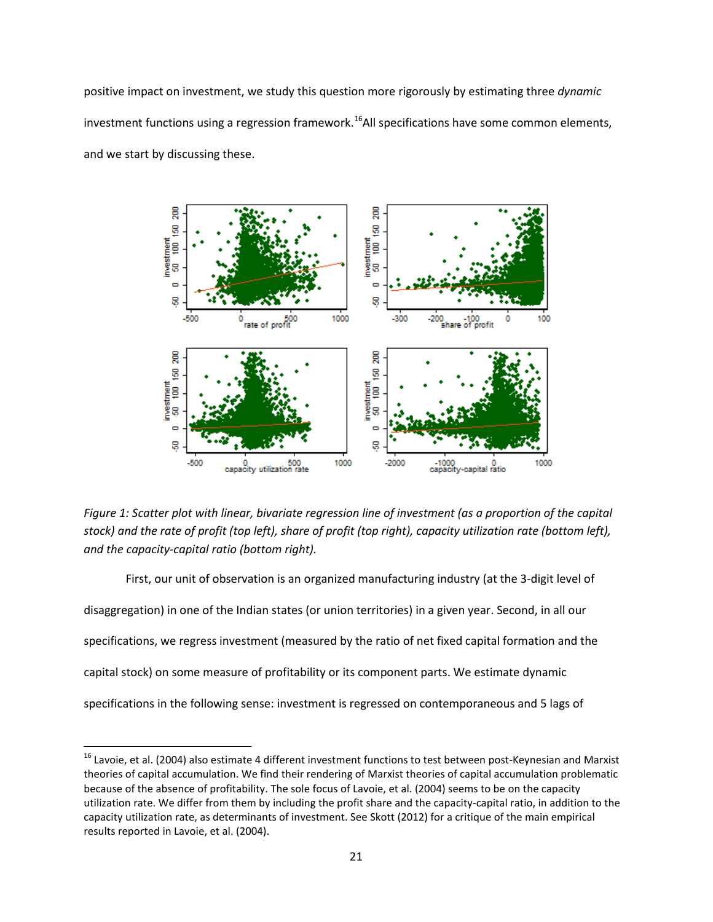positive impact on investment, we study this question more rigorously by estimating three *dynamic* investment functions using a regression framework.<sup>[16](#page-23-0)</sup>All specifications have some common elements, and we start by discussing these.



*Figure 1: Scatter plot with linear, bivariate regression line of investment (as a proportion of the capital stock) and the rate of profit (top left), share of profit (top right), capacity utilization rate (bottom left), and the capacity-capital ratio (bottom right).*

First, our unit of observation is an organized manufacturing industry (at the 3-digit level of disaggregation) in one of the Indian states (or union territories) in a given year. Second, in all our specifications, we regress investment (measured by the ratio of net fixed capital formation and the capital stock) on some measure of profitability or its component parts. We estimate dynamic specifications in the following sense: investment is regressed on contemporaneous and 5 lags of

<span id="page-23-0"></span> $16$  Lavoie, et al. (2004) also estimate 4 different investment functions to test between post-Keynesian and Marxist theories of capital accumulation. We find their rendering of Marxist theories of capital accumulation problematic because of the absence of profitability. The sole focus of Lavoie, et al. (2004) seems to be on the capacity utilization rate. We differ from them by including the profit share and the capacity-capital ratio, in addition to the capacity utilization rate, as determinants of investment. See Skott (2012) for a critique of the main empirical results reported in Lavoie, et al. (2004).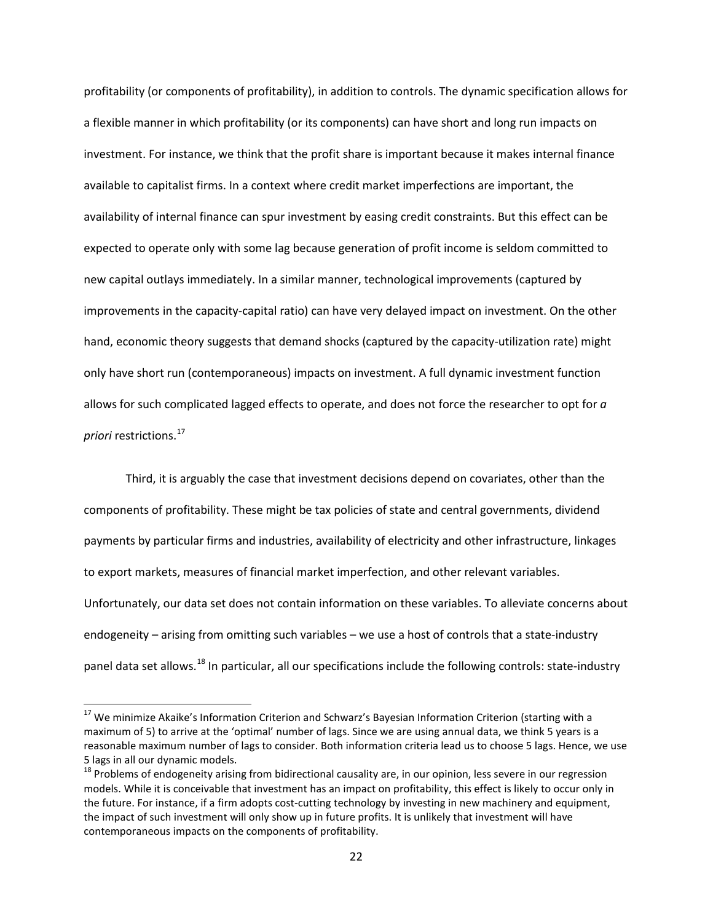profitability (or components of profitability), in addition to controls. The dynamic specification allows for a flexible manner in which profitability (or its components) can have short and long run impacts on investment. For instance, we think that the profit share is important because it makes internal finance available to capitalist firms. In a context where credit market imperfections are important, the availability of internal finance can spur investment by easing credit constraints. But this effect can be expected to operate only with some lag because generation of profit income is seldom committed to new capital outlays immediately. In a similar manner, technological improvements (captured by improvements in the capacity-capital ratio) can have very delayed impact on investment. On the other hand, economic theory suggests that demand shocks (captured by the capacity-utilization rate) might only have short run (contemporaneous) impacts on investment. A full dynamic investment function allows for such complicated lagged effects to operate, and does not force the researcher to opt for *a priori* restrictions.<sup>[17](#page-24-0)</sup>

Third, it is arguably the case that investment decisions depend on covariates, other than the components of profitability. These might be tax policies of state and central governments, dividend payments by particular firms and industries, availability of electricity and other infrastructure, linkages to export markets, measures of financial market imperfection, and other relevant variables. Unfortunately, our data set does not contain information on these variables. To alleviate concerns about endogeneity – arising from omitting such variables – we use a host of controls that a state-industry panel data set allows.<sup>[18](#page-24-1)</sup> In particular, all our specifications include the following controls: state-industry

<span id="page-24-0"></span><sup>&</sup>lt;sup>17</sup> We minimize Akaike's Information Criterion and Schwarz's Bayesian Information Criterion (starting with a maximum of 5) to arrive at the 'optimal' number of lags. Since we are using annual data, we think 5 years is a reasonable maximum number of lags to consider. Both information criteria lead us to choose 5 lags. Hence, we use 5 lags in all our dynamic models.

<span id="page-24-1"></span><sup>&</sup>lt;sup>18</sup> Problems of endogeneity arising from bidirectional causality are, in our opinion, less severe in our regression models. While it is conceivable that investment has an impact on profitability, this effect is likely to occur only in the future. For instance, if a firm adopts cost-cutting technology by investing in new machinery and equipment, the impact of such investment will only show up in future profits. It is unlikely that investment will have contemporaneous impacts on the components of profitability.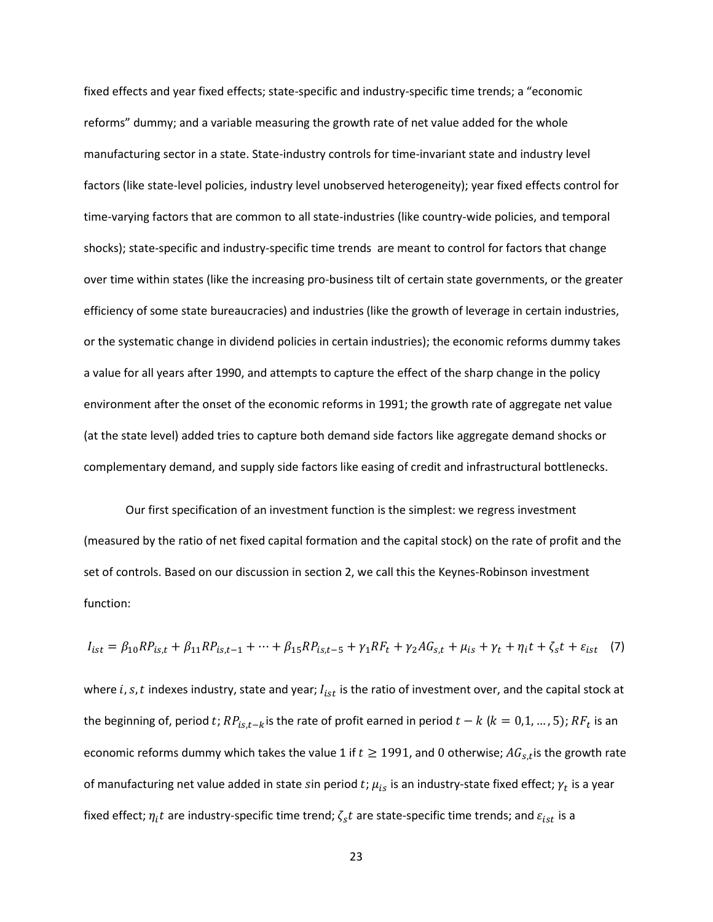fixed effects and year fixed effects; state-specific and industry-specific time trends; a "economic reforms" dummy; and a variable measuring the growth rate of net value added for the whole manufacturing sector in a state. State-industry controls for time-invariant state and industry level factors (like state-level policies, industry level unobserved heterogeneity); year fixed effects control for time-varying factors that are common to all state-industries (like country-wide policies, and temporal shocks); state-specific and industry-specific time trends are meant to control for factors that change over time within states (like the increasing pro-business tilt of certain state governments, or the greater efficiency of some state bureaucracies) and industries (like the growth of leverage in certain industries, or the systematic change in dividend policies in certain industries); the economic reforms dummy takes a value for all years after 1990, and attempts to capture the effect of the sharp change in the policy environment after the onset of the economic reforms in 1991; the growth rate of aggregate net value (at the state level) added tries to capture both demand side factors like aggregate demand shocks or complementary demand, and supply side factors like easing of credit and infrastructural bottlenecks.

Our first specification of an investment function is the simplest: we regress investment (measured by the ratio of net fixed capital formation and the capital stock) on the rate of profit and the set of controls. Based on our discussion in section 2, we call this the Keynes-Robinson investment function:

$$
I_{ist} = \beta_{10}RP_{is,t} + \beta_{11}RP_{is,t-1} + \dots + \beta_{15}RP_{is,t-5} + \gamma_1 RF_t + \gamma_2 AG_{s,t} + \mu_{is} + \gamma_t + \eta_i t + \zeta_s t + \varepsilon_{ist} \tag{7}
$$

where i, s, t indexes industry, state and year;  $I_{ist}$  is the ratio of investment over, and the capital stock at the beginning of, period t;  $RP_{is,t-k}$  is the rate of profit earned in period  $t - k$  ( $k = 0,1,...,5$ );  $RF_t$  is an economic reforms dummy which takes the value 1 if  $t \ge 1991$ , and 0 otherwise;  $AG_{s,t}$  is the growth rate of manufacturing net value added in state sin period t;  $\mu_{is}$  is an industry-state fixed effect;  $\gamma_t$  is a year fixed effect;  $\eta_i t$  are industry-specific time trend;  $\zeta_s t$  are state-specific time trends; and  $\varepsilon_{ist}$  is a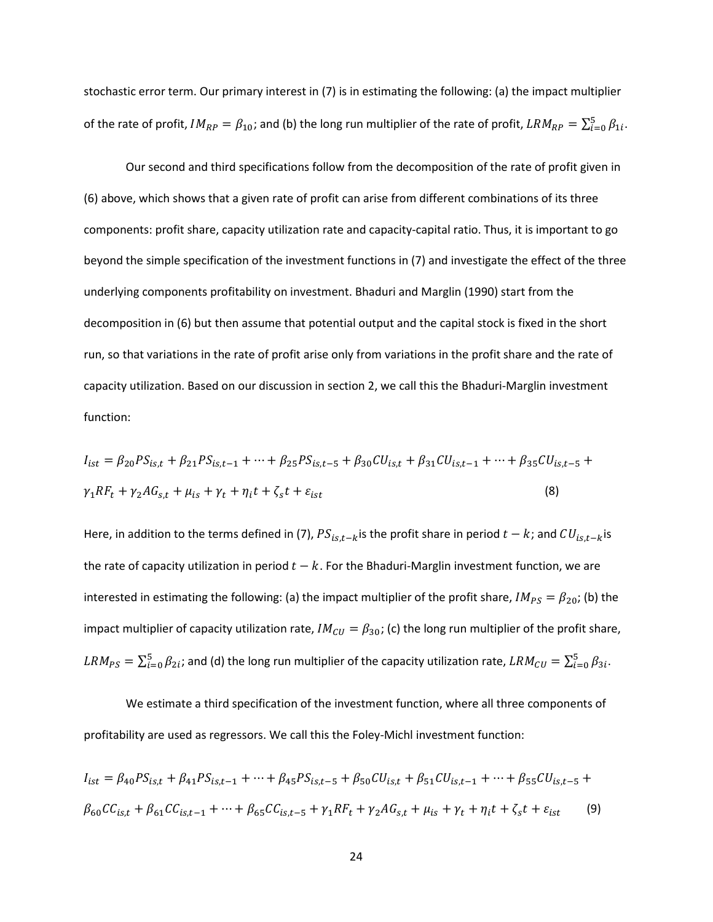stochastic error term. Our primary interest in (7) is in estimating the following: (a) the impact multiplier of the rate of profit,  $IM_{RP} = \beta_{10}$ ; and (b) the long run multiplier of the rate of profit,  $LRM_{RP} = \sum_{i=0}^{5} \beta_{1i}$ .

Our second and third specifications follow from the decomposition of the rate of profit given in (6) above, which shows that a given rate of profit can arise from different combinations of its three components: profit share, capacity utilization rate and capacity-capital ratio. Thus, it is important to go beyond the simple specification of the investment functions in (7) and investigate the effect of the three underlying components profitability on investment. Bhaduri and Marglin (1990) start from the decomposition in (6) but then assume that potential output and the capital stock is fixed in the short run, so that variations in the rate of profit arise only from variations in the profit share and the rate of capacity utilization. Based on our discussion in section 2, we call this the Bhaduri-Marglin investment function:

$$
I_{ist} = \beta_{20} PS_{is,t} + \beta_{21} PS_{is,t-1} + \dots + \beta_{25} PS_{is,t-5} + \beta_{30} CU_{is,t} + \beta_{31} CU_{is,t-1} + \dots + \beta_{35} CU_{is,t-5} + \gamma_1 RF_t + \gamma_2 AG_{s,t} + \mu_{is} + \gamma_t + \eta_i t + \zeta_s t + \varepsilon_{ist}
$$
\n(8)

Here, in addition to the terms defined in (7),  $PS_{is,t-k}$  is the profit share in period  $t - k$ ; and  $CU_{is,t-k}$  is the rate of capacity utilization in period  $t - k$ . For the Bhaduri-Marglin investment function, we are interested in estimating the following: (a) the impact multiplier of the profit share,  $IM_{PS} = \beta_{20}$ ; (b) the impact multiplier of capacity utilization rate,  $IM_{CU} = \beta_{30}$ ; (c) the long run multiplier of the profit share,  $LRM_{PS}=\sum_{i=0}^5\beta_{2i}$ ; and (d) the long run multiplier of the capacity utilization rate,  $LRM_{CU}=\sum_{i=0}^5\beta_{3i}$ .

We estimate a third specification of the investment function, where all three components of profitability are used as regressors. We call this the Foley-Michl investment function:

$$
I_{ist} = \beta_{40} PS_{is,t} + \beta_{41} PS_{is,t-1} + \dots + \beta_{45} PS_{is,t-5} + \beta_{50} CU_{is,t} + \beta_{51} CU_{is,t-1} + \dots + \beta_{55} CU_{is,t-5} +
$$
  

$$
\beta_{60} CC_{is,t} + \beta_{61} CC_{is,t-1} + \dots + \beta_{65} CC_{is,t-5} + \gamma_1 RF_t + \gamma_2 AG_{s,t} + \mu_{is} + \gamma_t + \eta_i t + \zeta_s t + \varepsilon_{ist}
$$
 (9)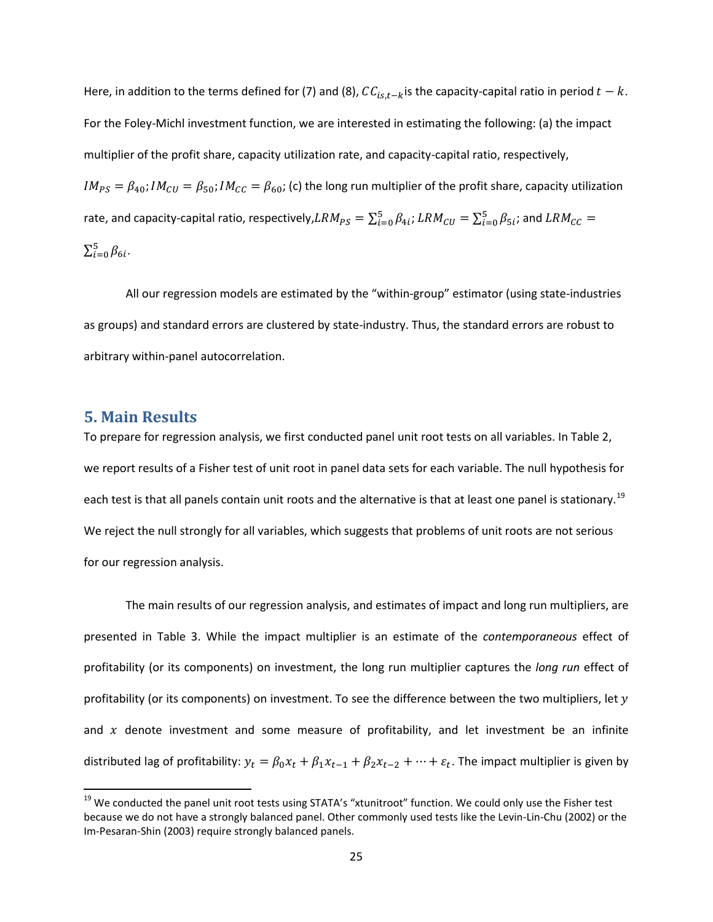Here, in addition to the terms defined for (7) and (8),  $CC_{is,t-k}$  is the capacity-capital ratio in period  $t - k$ . For the Foley-Michl investment function, we are interested in estimating the following: (a) the impact multiplier of the profit share, capacity utilization rate, and capacity-capital ratio, respectively,  $IM_{PS} = \beta_{40}$ ;  $IM_{CU} = \beta_{50}$ ;  $IM_{CC} = \beta_{60}$ ; (c) the long run multiplier of the profit share, capacity utilization rate, and capacity-capital ratio, respectively, $LRM_{PS}=\sum_{i=0}^5\beta_{4i}$ ;  $LRM_{CU}=\sum_{i=0}^5\beta_{5i}$ ; and  $LRM_{CC}=$  $\sum_{i=0}^{5} \beta_{6i}$ .

All our regression models are estimated by the "within-group" estimator (using state-industries as groups) and standard errors are clustered by state-industry. Thus, the standard errors are robust to arbitrary within-panel autocorrelation.

#### **5. Main Results**

To prepare for regression analysis, we first conducted panel unit root tests on all variables. In Table 2, we report results of a Fisher test of unit root in panel data sets for each variable. The null hypothesis for each test is that all panels contain unit roots and the alternative is that at least one panel is stationary.<sup>[19](#page-27-0)</sup> We reject the null strongly for all variables, which suggests that problems of unit roots are not serious for our regression analysis.

The main results of our regression analysis, and estimates of impact and long run multipliers, are presented in Table 3. While the impact multiplier is an estimate of the *contemporaneous* effect of profitability (or its components) on investment, the long run multiplier captures the *long run* effect of profitability (or its components) on investment. To see the difference between the two multipliers, let  $y$ and  $x$  denote investment and some measure of profitability, and let investment be an infinite distributed lag of profitability:  $y_t = \beta_0 x_t + \beta_1 x_{t-1} + \beta_2 x_{t-2} + \cdots + \varepsilon_t$ . The impact multiplier is given by

<span id="page-27-0"></span><sup>&</sup>lt;sup>19</sup> We conducted the panel unit root tests using STATA's "xtunitroot" function. We could only use the Fisher test because we do not have a strongly balanced panel. Other commonly used tests like the Levin-Lin-Chu (2002) or the Im-Pesaran-Shin (2003) require strongly balanced panels.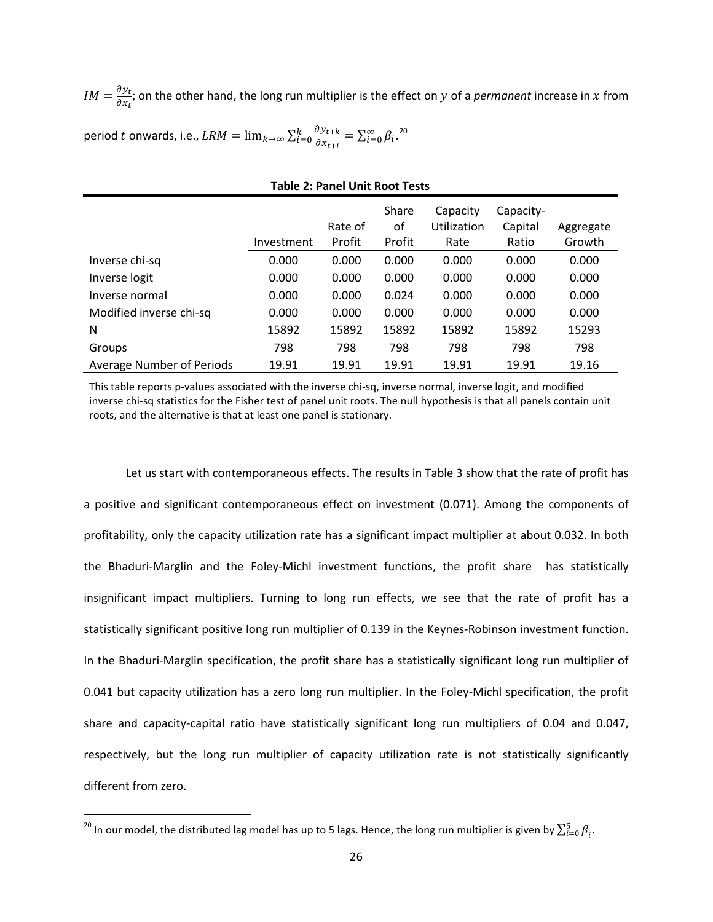$IM = \frac{\partial y_t}{\partial x_t}$ ; on the other hand, the long run multiplier is the effect on y of a *permanent* increase in x from

period  $t$  onwards, i.e.,  $LRM = \lim_{k\to\infty}\sum_{i=0}^{k} \frac{\partial y_{t+k}}{\partial x_{t+i}}$  $\frac{k}{i=0} \frac{\partial y_{t+k}}{\partial x_{t+i}} = \sum_{i=0}^{\infty} \beta_i$ .<sup>[20](#page-28-0)</sup>

| <b>Table 2: Panel Unit Root Tests</b> |            |                   |                       |                                 |                               |                     |
|---------------------------------------|------------|-------------------|-----------------------|---------------------------------|-------------------------------|---------------------|
|                                       | Investment | Rate of<br>Profit | Share<br>οf<br>Profit | Capacity<br>Utilization<br>Rate | Capacity-<br>Capital<br>Ratio | Aggregate<br>Growth |
| Inverse chi-sq                        | 0.000      | 0.000             | 0.000                 | 0.000                           | 0.000                         | 0.000               |
| Inverse logit                         | 0.000      | 0.000             | 0.000                 | 0.000                           | 0.000                         | 0.000               |
| Inverse normal                        | 0.000      | 0.000             | 0.024                 | 0.000                           | 0.000                         | 0.000               |
| Modified inverse chi-sq               | 0.000      | 0.000             | 0.000                 | 0.000                           | 0.000                         | 0.000               |
| N                                     | 15892      | 15892             | 15892                 | 15892                           | 15892                         | 15293               |
| Groups                                | 798        | 798               | 798                   | 798                             | 798                           | 798                 |
| Average Number of Periods             | 19.91      | 19.91             | 19.91                 | 19.91                           | 19.91                         | 19.16               |

#### This table reports p-values associated with the inverse chi-sq, inverse normal, inverse logit, and modified inverse chi-sq statistics for the Fisher test of panel unit roots. The null hypothesis is that all panels contain unit roots, and the alternative is that at least one panel is stationary.

Let us start with contemporaneous effects. The results in Table 3 show that the rate of profit has a positive and significant contemporaneous effect on investment (0.071). Among the components of profitability, only the capacity utilization rate has a significant impact multiplier at about 0.032. In both the Bhaduri-Marglin and the Foley-Michl investment functions, the profit share has statistically insignificant impact multipliers. Turning to long run effects, we see that the rate of profit has a statistically significant positive long run multiplier of 0.139 in the Keynes-Robinson investment function. In the Bhaduri-Marglin specification, the profit share has a statistically significant long run multiplier of 0.041 but capacity utilization has a zero long run multiplier. In the Foley-Michl specification, the profit share and capacity-capital ratio have statistically significant long run multipliers of 0.04 and 0.047, respectively, but the long run multiplier of capacity utilization rate is not statistically significantly different from zero.

<span id="page-28-0"></span> $\frac{1}{20}$  In our model, the distributed lag model has up to 5 lags. Hence, the long run multiplier is given by  $\sum_{i=0}^{5} \beta_i.$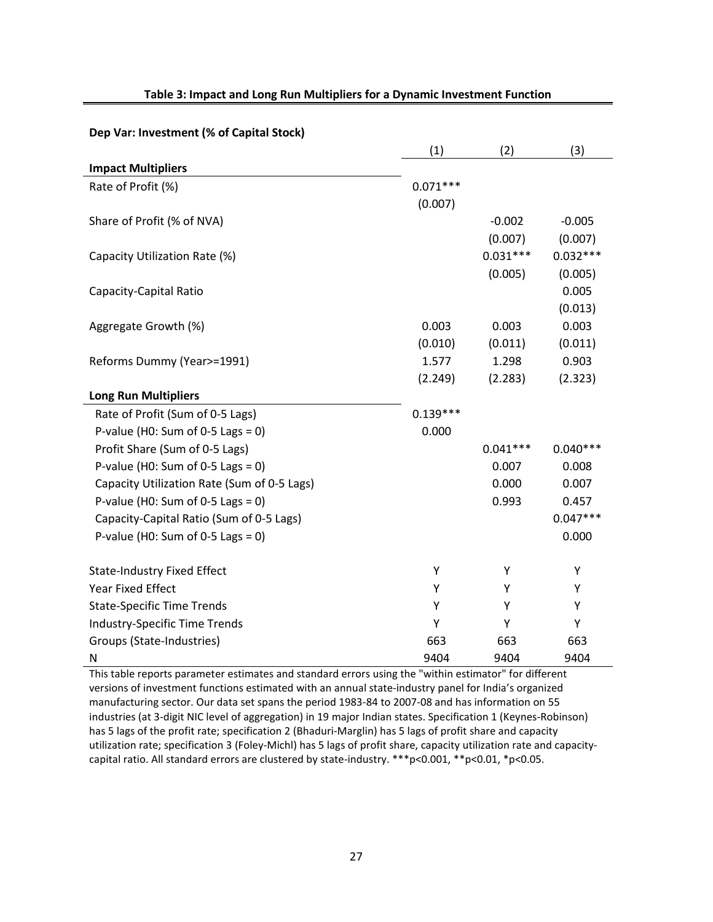|                                             | (1)        | (2)        | (3)        |
|---------------------------------------------|------------|------------|------------|
| <b>Impact Multipliers</b>                   |            |            |            |
| Rate of Profit (%)                          | $0.071***$ |            |            |
|                                             | (0.007)    |            |            |
| Share of Profit (% of NVA)                  |            | $-0.002$   | $-0.005$   |
|                                             |            | (0.007)    | (0.007)    |
| Capacity Utilization Rate (%)               |            | $0.031***$ | $0.032***$ |
|                                             |            | (0.005)    | (0.005)    |
| Capacity-Capital Ratio                      |            |            | 0.005      |
|                                             |            |            | (0.013)    |
| Aggregate Growth (%)                        | 0.003      | 0.003      | 0.003      |
|                                             | (0.010)    | (0.011)    | (0.011)    |
| Reforms Dummy (Year>=1991)                  | 1.577      | 1.298      | 0.903      |
|                                             | (2.249)    | (2.283)    | (2.323)    |
| <b>Long Run Multipliers</b>                 |            |            |            |
| Rate of Profit (Sum of 0-5 Lags)            | $0.139***$ |            |            |
| P-value (H0: Sum of 0-5 Lags = 0)           | 0.000      |            |            |
| Profit Share (Sum of 0-5 Lags)              |            | $0.041***$ | $0.040***$ |
| P-value (H0: Sum of 0-5 Lags = 0)           |            | 0.007      | 0.008      |
| Capacity Utilization Rate (Sum of 0-5 Lags) |            | 0.000      | 0.007      |
| P-value (H0: Sum of 0-5 Lags = 0)           |            | 0.993      | 0.457      |
| Capacity-Capital Ratio (Sum of 0-5 Lags)    |            |            | $0.047***$ |
| P-value (H0: Sum of 0-5 Lags = 0)           |            |            | 0.000      |
|                                             |            |            |            |
| <b>State-Industry Fixed Effect</b>          | Υ          | Υ          | Υ          |
| <b>Year Fixed Effect</b>                    | Υ          | Υ          | Υ          |
| <b>State-Specific Time Trends</b>           | Υ          | Υ          | Υ          |
| Industry-Specific Time Trends               | Y          | Y          | Y          |
| Groups (State-Industries)                   | 663        | 663        | 663        |
| N                                           | 9404       | 9404       | 9404       |

#### **Table 3: Impact and Long Run Multipliers for a Dynamic Investment Function**

**Dep Var: Investment (% of Capital Stock)**

This table reports parameter estimates and standard errors using the "within estimator" for different versions of investment functions estimated with an annual state-industry panel for India's organized manufacturing sector. Our data set spans the period 1983-84 to 2007-08 and has information on 55 industries (at 3-digit NIC level of aggregation) in 19 major Indian states. Specification 1 (Keynes-Robinson) has 5 lags of the profit rate; specification 2 (Bhaduri-Marglin) has 5 lags of profit share and capacity utilization rate; specification 3 (Foley-Michl) has 5 lags of profit share, capacity utilization rate and capacitycapital ratio. All standard errors are clustered by state-industry. \*\*\*p<0.001, \*\*p<0.01, \*p<0.05.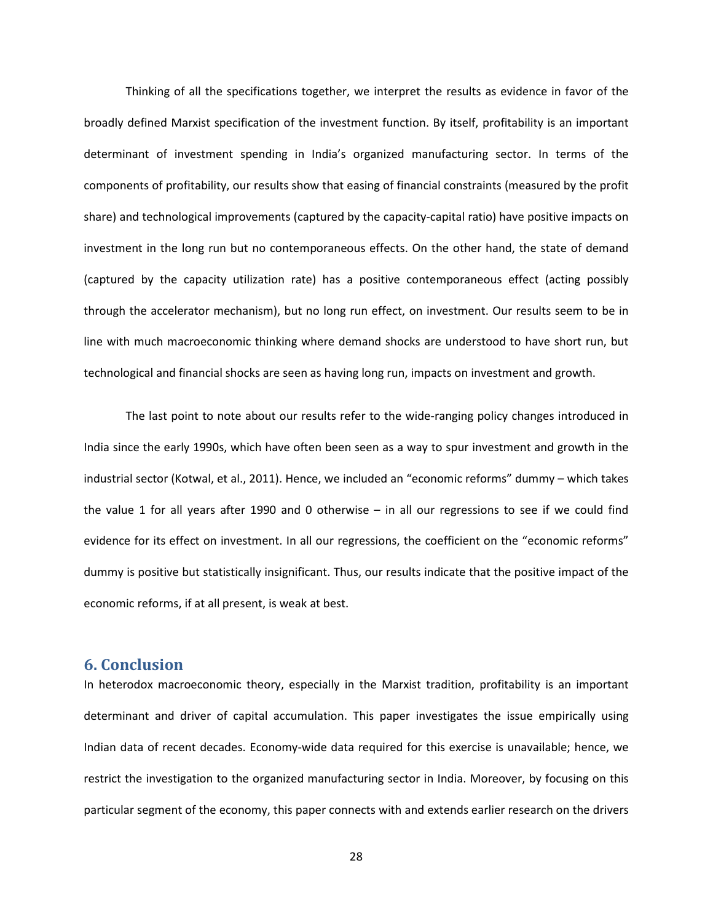Thinking of all the specifications together, we interpret the results as evidence in favor of the broadly defined Marxist specification of the investment function. By itself, profitability is an important determinant of investment spending in India's organized manufacturing sector. In terms of the components of profitability, our results show that easing of financial constraints (measured by the profit share) and technological improvements (captured by the capacity-capital ratio) have positive impacts on investment in the long run but no contemporaneous effects. On the other hand, the state of demand (captured by the capacity utilization rate) has a positive contemporaneous effect (acting possibly through the accelerator mechanism), but no long run effect, on investment. Our results seem to be in line with much macroeconomic thinking where demand shocks are understood to have short run, but technological and financial shocks are seen as having long run, impacts on investment and growth.

The last point to note about our results refer to the wide-ranging policy changes introduced in India since the early 1990s, which have often been seen as a way to spur investment and growth in the industrial sector (Kotwal, et al., 2011). Hence, we included an "economic reforms" dummy – which takes the value 1 for all years after 1990 and 0 otherwise – in all our regressions to see if we could find evidence for its effect on investment. In all our regressions, the coefficient on the "economic reforms" dummy is positive but statistically insignificant. Thus, our results indicate that the positive impact of the economic reforms, if at all present, is weak at best.

#### **6. Conclusion**

In heterodox macroeconomic theory, especially in the Marxist tradition, profitability is an important determinant and driver of capital accumulation. This paper investigates the issue empirically using Indian data of recent decades. Economy-wide data required for this exercise is unavailable; hence, we restrict the investigation to the organized manufacturing sector in India. Moreover, by focusing on this particular segment of the economy, this paper connects with and extends earlier research on the drivers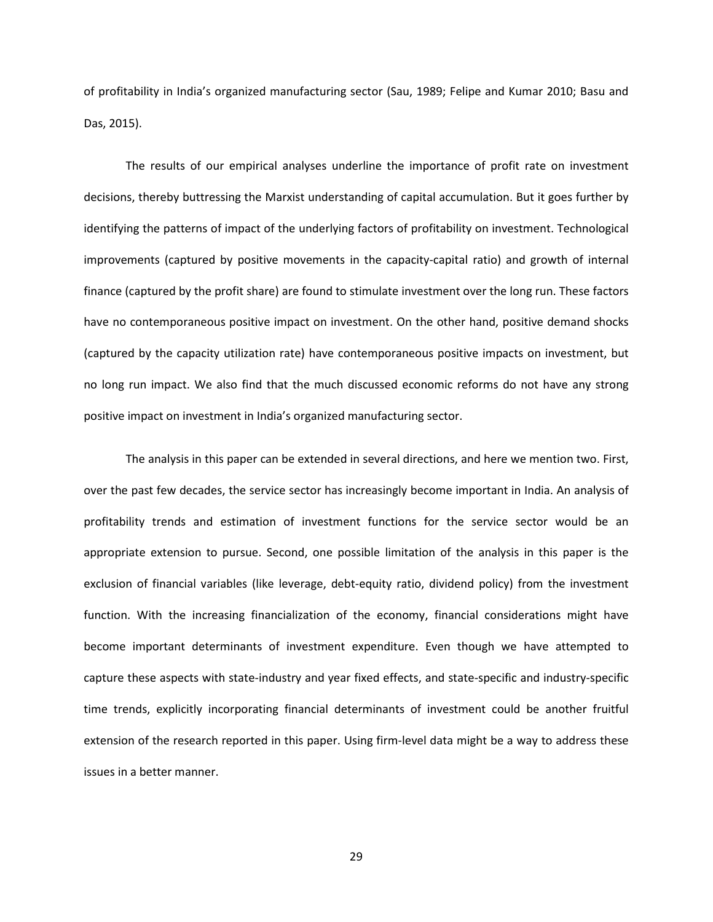of profitability in India's organized manufacturing sector (Sau, 1989; Felipe and Kumar 2010; Basu and Das, 2015).

The results of our empirical analyses underline the importance of profit rate on investment decisions, thereby buttressing the Marxist understanding of capital accumulation. But it goes further by identifying the patterns of impact of the underlying factors of profitability on investment. Technological improvements (captured by positive movements in the capacity-capital ratio) and growth of internal finance (captured by the profit share) are found to stimulate investment over the long run. These factors have no contemporaneous positive impact on investment. On the other hand, positive demand shocks (captured by the capacity utilization rate) have contemporaneous positive impacts on investment, but no long run impact. We also find that the much discussed economic reforms do not have any strong positive impact on investment in India's organized manufacturing sector.

The analysis in this paper can be extended in several directions, and here we mention two. First, over the past few decades, the service sector has increasingly become important in India. An analysis of profitability trends and estimation of investment functions for the service sector would be an appropriate extension to pursue. Second, one possible limitation of the analysis in this paper is the exclusion of financial variables (like leverage, debt-equity ratio, dividend policy) from the investment function. With the increasing financialization of the economy, financial considerations might have become important determinants of investment expenditure. Even though we have attempted to capture these aspects with state-industry and year fixed effects, and state-specific and industry-specific time trends, explicitly incorporating financial determinants of investment could be another fruitful extension of the research reported in this paper. Using firm-level data might be a way to address these issues in a better manner.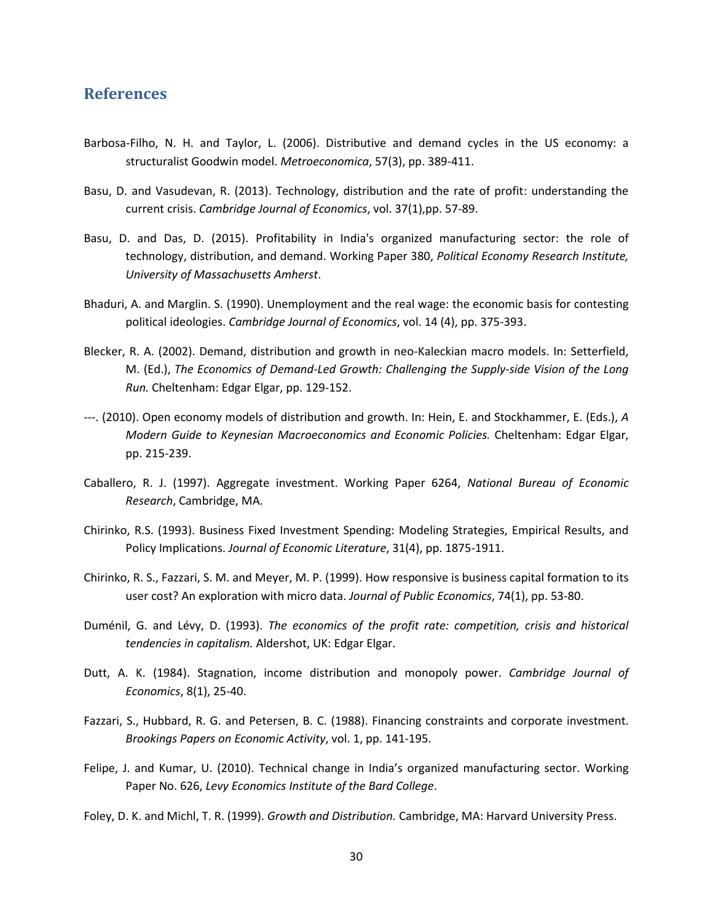#### **References**

- Barbosa-Filho, N. H. and Taylor, L. (2006). Distributive and demand cycles in the US economy: a structuralist Goodwin model. *Metroeconomica*, 57(3), pp. 389-411.
- Basu, D. and Vasudevan, R. (2013). Technology, distribution and the rate of profit: understanding the current crisis. *Cambridge Journal of Economics*, vol. 37(1),pp. 57-89.
- Basu, D. and Das, D. (2015). Profitability in India's organized manufacturing sector: the role of technology, distribution, and demand. Working Paper 380, *Political Economy Research Institute, University of Massachusetts Amherst*.
- Bhaduri, A. and Marglin. S. (1990). Unemployment and the real wage: the economic basis for contesting political ideologies. *Cambridge Journal of Economics*, vol. 14 (4), pp. 375-393.
- Blecker, R. A. (2002). Demand, distribution and growth in neo-Kaleckian macro models. In: Setterfield, M. (Ed.), *The Economics of Demand-Led Growth: Challenging the Supply-side Vision of the Long Run.* Cheltenham: Edgar Elgar, pp. 129-152.
- ---. (2010). Open economy models of distribution and growth. In: Hein, E. and Stockhammer, E. (Eds.), *A Modern Guide to Keynesian Macroeconomics and Economic Policies.* Cheltenham: Edgar Elgar, pp. 215-239.
- Caballero, R. J. (1997). Aggregate investment. Working Paper 6264, *National Bureau of Economic Research*, Cambridge, MA.
- Chirinko, R.S. (1993). Business Fixed Investment Spending: Modeling Strategies, Empirical Results, and Policy Implications. *Journal of Economic Literature*, 31(4), pp. 1875-1911.
- Chirinko, R. S., Fazzari, S. M. and Meyer, M. P. (1999). How responsive is business capital formation to its user cost? An exploration with micro data. *Journal of Public Economics*, 74(1), pp. 53-80.
- Duménil, G. and Lévy, D. (1993). *The economics of the profit rate: competition, crisis and historical tendencies in capitalism.* Aldershot, UK: Edgar Elgar.
- Dutt, A. K. (1984). Stagnation, income distribution and monopoly power. *Cambridge Journal of Economics*, 8(1), 25-40.
- Fazzari, S., Hubbard, R. G. and Petersen, B. C. (1988). Financing constraints and corporate investment. *Brookings Papers on Economic Activity*, vol. 1, pp. 141-195.
- Felipe, J. and Kumar, U. (2010). Technical change in India's organized manufacturing sector. Working Paper No. 626, *Levy Economics Institute of the Bard College*.
- Foley, D. K. and Michl, T. R. (1999). *Growth and Distribution.* Cambridge, MA: Harvard University Press.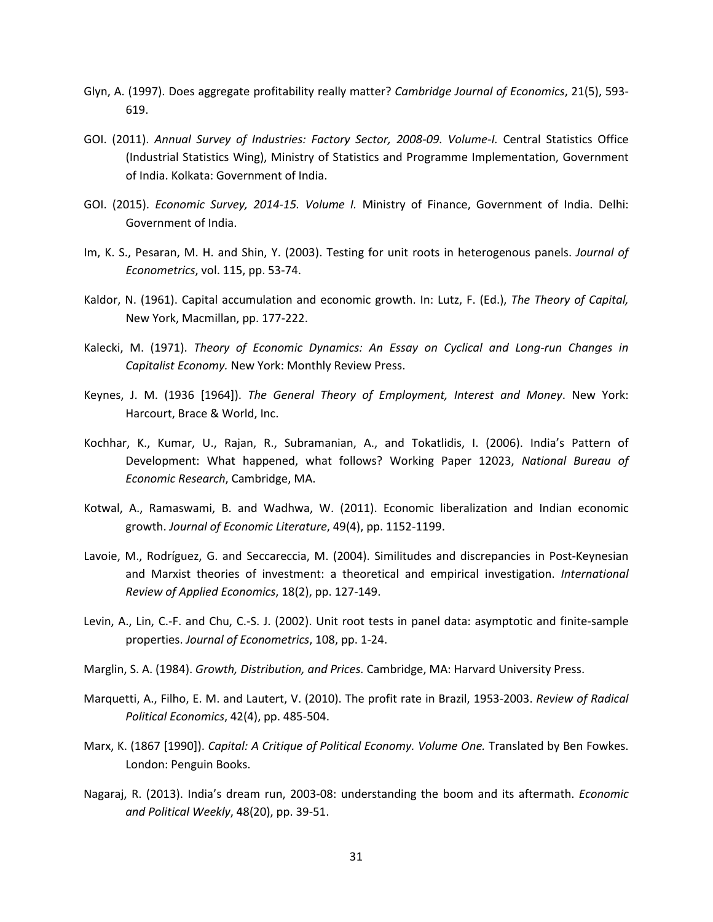- Glyn, A. (1997). Does aggregate profitability really matter? *Cambridge Journal of Economics*, 21(5), 593- 619.
- GOI. (2011). *Annual Survey of Industries: Factory Sector, 2008-09. Volume-I.* Central Statistics Office (Industrial Statistics Wing), Ministry of Statistics and Programme Implementation, Government of India. Kolkata: Government of India.
- GOI. (2015). *Economic Survey, 2014-15. Volume I.* Ministry of Finance, Government of India. Delhi: Government of India.
- Im, K. S., Pesaran, M. H. and Shin, Y. (2003). Testing for unit roots in heterogenous panels. *Journal of Econometrics*, vol. 115, pp. 53-74.
- Kaldor, N. (1961). Capital accumulation and economic growth. In: Lutz, F. (Ed.), *The Theory of Capital,* New York, Macmillan, pp. 177-222.
- Kalecki, M. (1971). *Theory of Economic Dynamics: An Essay on Cyclical and Long-run Changes in Capitalist Economy.* New York: Monthly Review Press.
- Keynes, J. M. (1936 [1964]). *The General Theory of Employment, Interest and Money*. New York: Harcourt, Brace & World, Inc.
- Kochhar, K., Kumar, U., Rajan, R., Subramanian, A., and Tokatlidis, I. (2006). India's Pattern of Development: What happened, what follows? Working Paper 12023, *National Bureau of Economic Research*, Cambridge, MA.
- Kotwal, A., Ramaswami, B. and Wadhwa, W. (2011). Economic liberalization and Indian economic growth. *Journal of Economic Literature*, 49(4), pp. 1152-1199.
- Lavoie, M., Rodríguez, G. and Seccareccia, M. (2004). Similitudes and discrepancies in Post-Keynesian and Marxist theories of investment: a theoretical and empirical investigation. *International Review of Applied Economics*, 18(2), pp. 127-149.
- Levin, A., Lin, C.-F. and Chu, C.-S. J. (2002). Unit root tests in panel data: asymptotic and finite-sample properties. *Journal of Econometrics*, 108, pp. 1-24.
- Marglin, S. A. (1984). *Growth, Distribution, and Prices.* Cambridge, MA: Harvard University Press.
- Marquetti, A., Filho, E. M. and Lautert, V. (2010). The profit rate in Brazil, 1953-2003. *Review of Radical Political Economics*, 42(4), pp. 485-504.
- Marx, K. (1867 [1990]). *Capital: A Critique of Political Economy. Volume One.* Translated by Ben Fowkes. London: Penguin Books.
- Nagaraj, R. (2013). India's dream run, 2003-08: understanding the boom and its aftermath. *Economic and Political Weekly*, 48(20), pp. 39-51.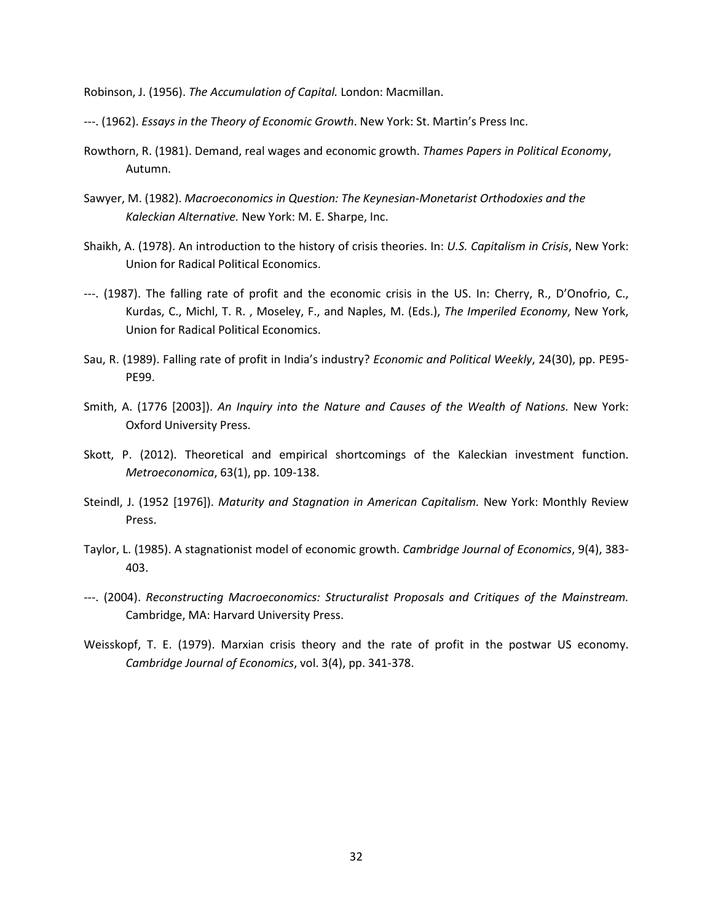Robinson, J. (1956). *The Accumulation of Capital.* London: Macmillan.

---. (1962). *Essays in the Theory of Economic Growth*. New York: St. Martin's Press Inc.

- Rowthorn, R. (1981). Demand, real wages and economic growth. *Thames Papers in Political Economy*, Autumn.
- Sawyer, M. (1982). *Macroeconomics in Question: The Keynesian-Monetarist Orthodoxies and the Kaleckian Alternative.* New York: M. E. Sharpe, Inc.
- Shaikh, A. (1978). An introduction to the history of crisis theories. In: *U.S. Capitalism in Crisis*, New York: Union for Radical Political Economics.
- ---. (1987). The falling rate of profit and the economic crisis in the US. In: Cherry, R., D'Onofrio, C., Kurdas, C., Michl, T. R. , Moseley, F., and Naples, M. (Eds.), *The Imperiled Economy*, New York, Union for Radical Political Economics.
- Sau, R. (1989). Falling rate of profit in India's industry? *Economic and Political Weekly*, 24(30), pp. PE95- PE99.
- Smith, A. (1776 [2003]). *An Inquiry into the Nature and Causes of the Wealth of Nations.* New York: Oxford University Press.
- Skott, P. (2012). Theoretical and empirical shortcomings of the Kaleckian investment function. *Metroeconomica*, 63(1), pp. 109-138.
- Steindl, J. (1952 [1976]). *Maturity and Stagnation in American Capitalism.* New York: Monthly Review Press.
- Taylor, L. (1985). A stagnationist model of economic growth. *Cambridge Journal of Economics*, 9(4), 383- 403.
- ---. (2004). *Reconstructing Macroeconomics: Structuralist Proposals and Critiques of the Mainstream.* Cambridge, MA: Harvard University Press.
- Weisskopf, T. E. (1979). Marxian crisis theory and the rate of profit in the postwar US economy. *Cambridge Journal of Economics*, vol. 3(4), pp. 341-378.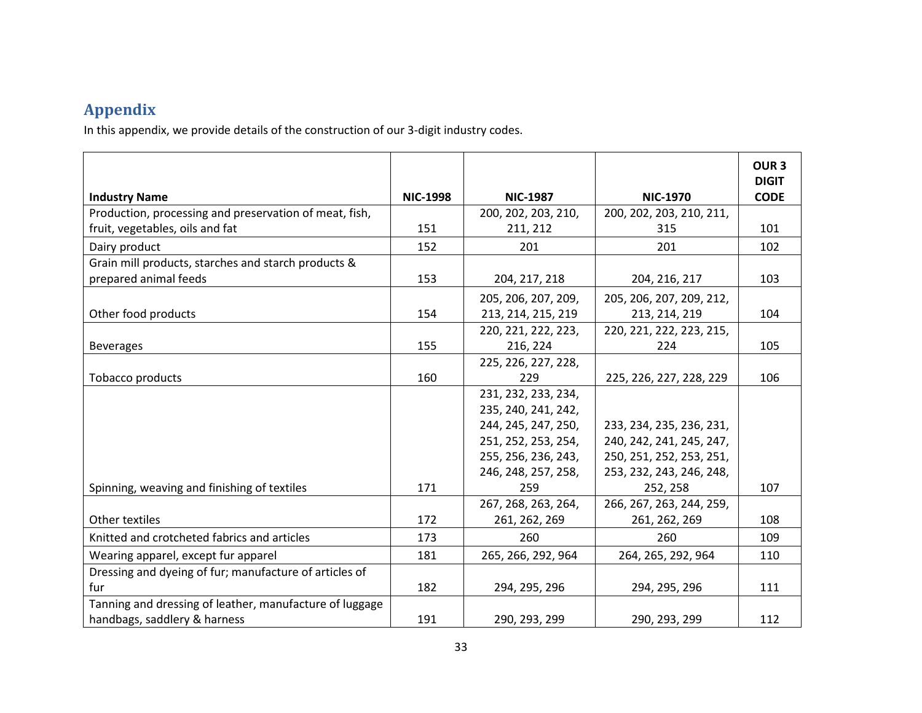### **Appendix**

In this appendix, we provide details of the construction of our 3-digit industry codes.

| <b>Industry Name</b>                                                                      | <b>NIC-1998</b> | <b>NIC-1987</b>     | <b>NIC-1970</b>                 | OUR <sub>3</sub><br><b>DIGIT</b><br><b>CODE</b> |
|-------------------------------------------------------------------------------------------|-----------------|---------------------|---------------------------------|-------------------------------------------------|
|                                                                                           |                 | 200, 202, 203, 210, |                                 |                                                 |
| Production, processing and preservation of meat, fish,<br>fruit, vegetables, oils and fat | 151             |                     | 200, 202, 203, 210, 211,<br>315 | 101                                             |
|                                                                                           |                 | 211, 212            |                                 |                                                 |
| Dairy product                                                                             | 152             | 201                 | 201                             | 102                                             |
| Grain mill products, starches and starch products &                                       |                 |                     |                                 |                                                 |
| prepared animal feeds                                                                     | 153             | 204, 217, 218       | 204, 216, 217                   | 103                                             |
|                                                                                           |                 | 205, 206, 207, 209, | 205, 206, 207, 209, 212,        |                                                 |
| Other food products                                                                       | 154             | 213, 214, 215, 219  | 213, 214, 219                   | 104                                             |
|                                                                                           |                 | 220, 221, 222, 223, | 220, 221, 222, 223, 215,        |                                                 |
| <b>Beverages</b>                                                                          | 155             | 216, 224            | 224                             | 105                                             |
|                                                                                           |                 | 225, 226, 227, 228, |                                 |                                                 |
| Tobacco products                                                                          | 160             | 229                 | 225, 226, 227, 228, 229         | 106                                             |
|                                                                                           |                 | 231, 232, 233, 234, |                                 |                                                 |
|                                                                                           |                 | 235, 240, 241, 242, |                                 |                                                 |
|                                                                                           |                 | 244, 245, 247, 250, | 233, 234, 235, 236, 231,        |                                                 |
|                                                                                           |                 | 251, 252, 253, 254, | 240, 242, 241, 245, 247,        |                                                 |
|                                                                                           |                 | 255, 256, 236, 243, | 250, 251, 252, 253, 251,        |                                                 |
|                                                                                           |                 | 246, 248, 257, 258, | 253, 232, 243, 246, 248,        |                                                 |
| Spinning, weaving and finishing of textiles                                               | 171             | 259                 | 252, 258                        | 107                                             |
|                                                                                           |                 | 267, 268, 263, 264, | 266, 267, 263, 244, 259,        |                                                 |
| Other textiles                                                                            | 172             | 261, 262, 269       | 261, 262, 269                   | 108                                             |
| Knitted and crotcheted fabrics and articles                                               | 173             | 260                 | 260                             | 109                                             |
| Wearing apparel, except fur apparel                                                       | 181             | 265, 266, 292, 964  | 264, 265, 292, 964              | 110                                             |
| Dressing and dyeing of fur; manufacture of articles of                                    |                 |                     |                                 |                                                 |
| fur                                                                                       | 182             | 294, 295, 296       | 294, 295, 296                   | 111                                             |
| Tanning and dressing of leather, manufacture of luggage                                   |                 |                     |                                 |                                                 |
| handbags, saddlery & harness                                                              | 191             | 290, 293, 299       | 290, 293, 299                   | 112                                             |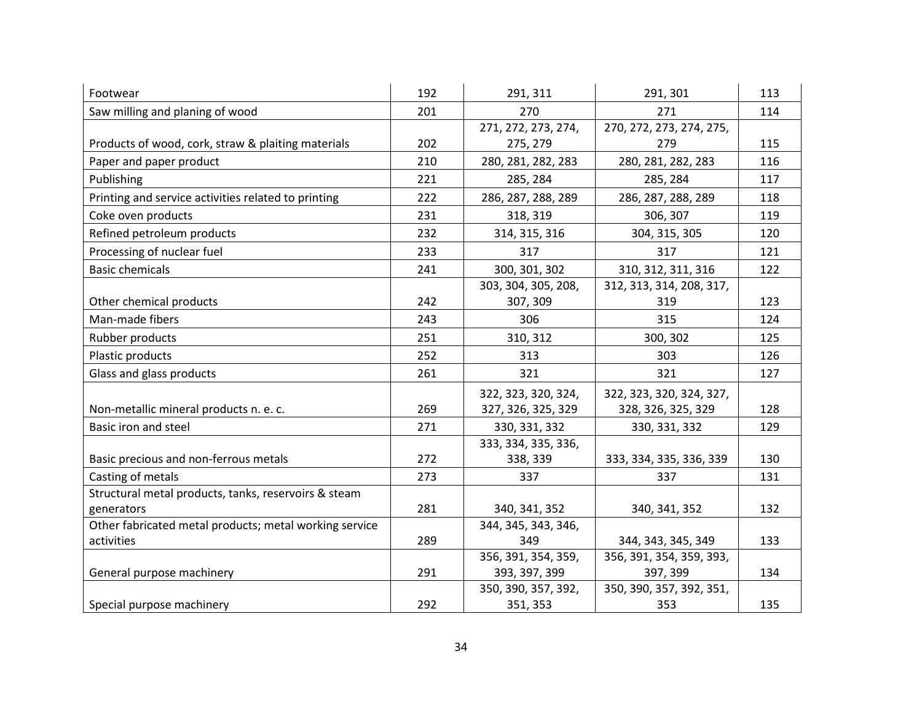| Footwear                                               | 192 | 291, 311            | 291, 301                 | 113 |
|--------------------------------------------------------|-----|---------------------|--------------------------|-----|
| Saw milling and planing of wood                        | 201 | 270                 | 271                      | 114 |
|                                                        |     | 271, 272, 273, 274, | 270, 272, 273, 274, 275, |     |
| Products of wood, cork, straw & plaiting materials     | 202 | 275, 279            | 279                      | 115 |
| Paper and paper product                                | 210 | 280, 281, 282, 283  | 280, 281, 282, 283       | 116 |
| Publishing                                             | 221 | 285, 284            | 285, 284                 | 117 |
| Printing and service activities related to printing    | 222 | 286, 287, 288, 289  | 286, 287, 288, 289       | 118 |
| Coke oven products                                     | 231 | 318, 319            | 306, 307                 | 119 |
| Refined petroleum products                             | 232 | 314, 315, 316       | 304, 315, 305            | 120 |
| Processing of nuclear fuel                             | 233 | 317                 | 317                      | 121 |
| <b>Basic chemicals</b>                                 | 241 | 300, 301, 302       | 310, 312, 311, 316       | 122 |
|                                                        |     | 303, 304, 305, 208, | 312, 313, 314, 208, 317, |     |
| Other chemical products                                | 242 | 307, 309            | 319                      | 123 |
| Man-made fibers                                        | 243 | 306                 | 315                      | 124 |
| Rubber products                                        | 251 | 310, 312            | 300, 302                 | 125 |
| Plastic products                                       | 252 | 313                 | 303                      | 126 |
| Glass and glass products                               | 261 | 321                 | 321                      | 127 |
|                                                        |     | 322, 323, 320, 324, | 322, 323, 320, 324, 327, |     |
| Non-metallic mineral products n. e. c.                 | 269 | 327, 326, 325, 329  | 328, 326, 325, 329       | 128 |
| Basic iron and steel                                   | 271 | 330, 331, 332       | 330, 331, 332            | 129 |
|                                                        |     | 333, 334, 335, 336, |                          |     |
| Basic precious and non-ferrous metals                  | 272 | 338, 339            | 333, 334, 335, 336, 339  | 130 |
| Casting of metals                                      | 273 | 337                 | 337                      | 131 |
| Structural metal products, tanks, reservoirs & steam   |     |                     |                          |     |
| generators                                             | 281 | 340, 341, 352       | 340, 341, 352            | 132 |
| Other fabricated metal products; metal working service |     | 344, 345, 343, 346, |                          |     |
| activities                                             | 289 | 349                 | 344, 343, 345, 349       | 133 |
|                                                        |     | 356, 391, 354, 359, | 356, 391, 354, 359, 393, |     |
| General purpose machinery                              | 291 | 393, 397, 399       | 397, 399                 | 134 |
|                                                        |     | 350, 390, 357, 392, | 350, 390, 357, 392, 351, |     |
| Special purpose machinery                              | 292 | 351, 353            | 353                      | 135 |